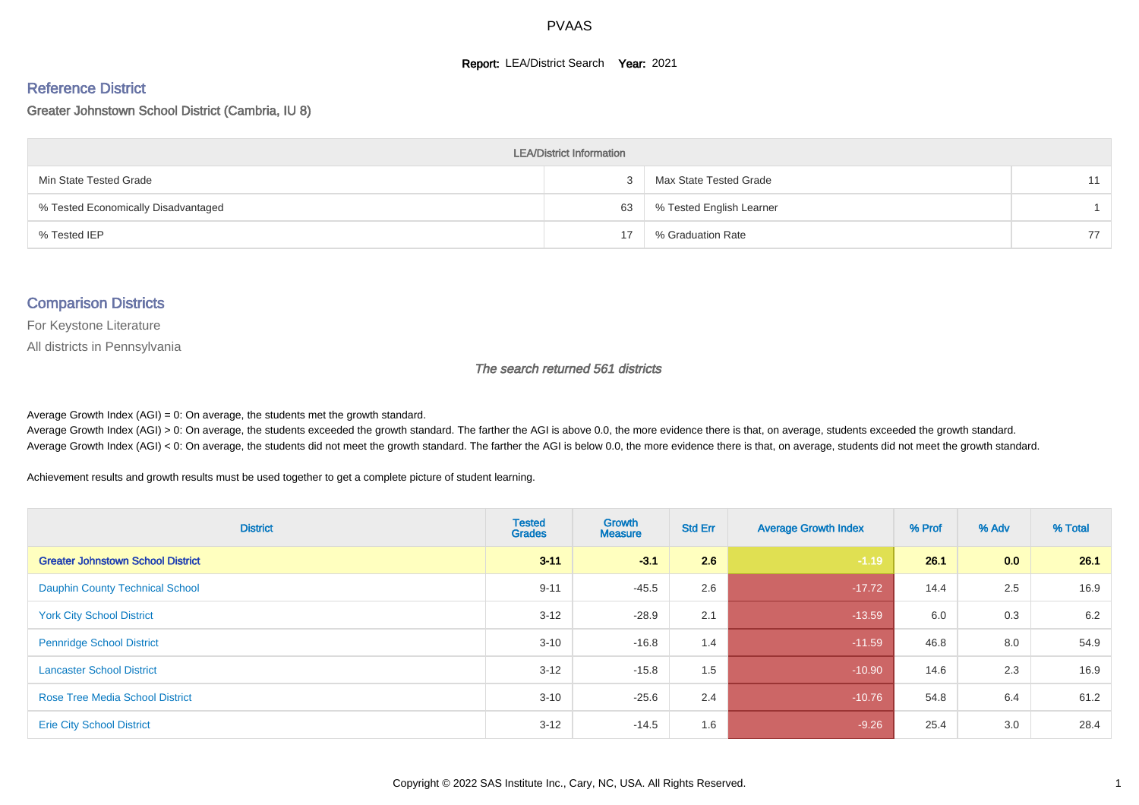#### **Report: LEA/District Search Year: 2021**

#### Reference District

#### Greater Johnstown School District (Cambria, IU 8)

| <b>LEA/District Information</b>     |    |                          |    |  |  |  |  |  |  |  |
|-------------------------------------|----|--------------------------|----|--|--|--|--|--|--|--|
| Min State Tested Grade              |    | Max State Tested Grade   |    |  |  |  |  |  |  |  |
| % Tested Economically Disadvantaged | 63 | % Tested English Learner |    |  |  |  |  |  |  |  |
| % Tested IEP                        | 17 | % Graduation Rate        | 77 |  |  |  |  |  |  |  |

#### Comparison Districts

For Keystone Literature

All districts in Pennsylvania

The search returned 561 districts

Average Growth Index  $(AGI) = 0$ : On average, the students met the growth standard.

Average Growth Index (AGI) > 0: On average, the students exceeded the growth standard. The farther the AGI is above 0.0, the more evidence there is that, on average, students exceeded the growth standard. Average Growth Index (AGI) < 0: On average, the students did not meet the growth standard. The farther the AGI is below 0.0, the more evidence there is that, on average, students did not meet the growth standard.

Achievement results and growth results must be used together to get a complete picture of student learning.

| <b>District</b>                          | <b>Tested</b><br><b>Grades</b> | <b>Growth</b><br><b>Measure</b> | <b>Std Err</b> | <b>Average Growth Index</b> | % Prof | % Adv | % Total |
|------------------------------------------|--------------------------------|---------------------------------|----------------|-----------------------------|--------|-------|---------|
| <b>Greater Johnstown School District</b> | $3 - 11$                       | $-3.1$                          | 2.6            | $-1.19$                     | 26.1   | 0.0   | 26.1    |
| <b>Dauphin County Technical School</b>   | $9 - 11$                       | $-45.5$                         | 2.6            | $-17.72$                    | 14.4   | 2.5   | 16.9    |
| <b>York City School District</b>         | $3 - 12$                       | $-28.9$                         | 2.1            | $-13.59$                    | 6.0    | 0.3   | 6.2     |
| <b>Pennridge School District</b>         | $3 - 10$                       | $-16.8$                         | 1.4            | $-11.59$                    | 46.8   | 8.0   | 54.9    |
| <b>Lancaster School District</b>         | $3 - 12$                       | $-15.8$                         | 1.5            | $-10.90$                    | 14.6   | 2.3   | 16.9    |
| <b>Rose Tree Media School District</b>   | $3 - 10$                       | $-25.6$                         | 2.4            | $-10.76$                    | 54.8   | 6.4   | 61.2    |
| <b>Erie City School District</b>         | $3 - 12$                       | $-14.5$                         | 1.6            | $-9.26$                     | 25.4   | 3.0   | 28.4    |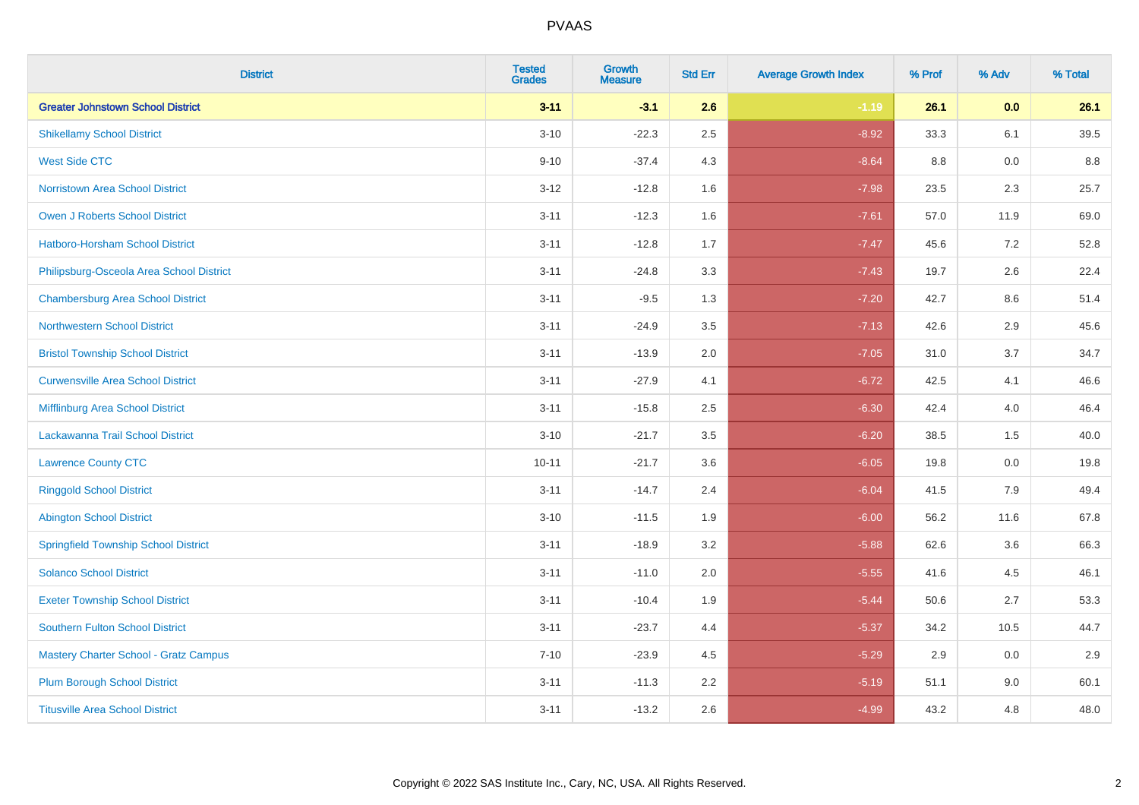| <b>District</b>                              | <b>Tested</b><br><b>Grades</b> | Growth<br><b>Measure</b> | <b>Std Err</b> | <b>Average Growth Index</b> | % Prof | % Adv | % Total |
|----------------------------------------------|--------------------------------|--------------------------|----------------|-----------------------------|--------|-------|---------|
| <b>Greater Johnstown School District</b>     | $3 - 11$                       | $-3.1$                   | 2.6            | $-1.19$                     | 26.1   | 0.0   | 26.1    |
| <b>Shikellamy School District</b>            | $3 - 10$                       | $-22.3$                  | 2.5            | $-8.92$                     | 33.3   | 6.1   | 39.5    |
| <b>West Side CTC</b>                         | $9 - 10$                       | $-37.4$                  | 4.3            | $-8.64$                     | 8.8    | 0.0   | 8.8     |
| <b>Norristown Area School District</b>       | $3 - 12$                       | $-12.8$                  | 1.6            | $-7.98$                     | 23.5   | 2.3   | 25.7    |
| <b>Owen J Roberts School District</b>        | $3 - 11$                       | $-12.3$                  | 1.6            | $-7.61$                     | 57.0   | 11.9  | 69.0    |
| <b>Hatboro-Horsham School District</b>       | $3 - 11$                       | $-12.8$                  | 1.7            | $-7.47$                     | 45.6   | 7.2   | 52.8    |
| Philipsburg-Osceola Area School District     | $3 - 11$                       | $-24.8$                  | 3.3            | $-7.43$                     | 19.7   | 2.6   | 22.4    |
| <b>Chambersburg Area School District</b>     | $3 - 11$                       | $-9.5$                   | 1.3            | $-7.20$                     | 42.7   | 8.6   | 51.4    |
| <b>Northwestern School District</b>          | $3 - 11$                       | $-24.9$                  | 3.5            | $-7.13$                     | 42.6   | 2.9   | 45.6    |
| <b>Bristol Township School District</b>      | $3 - 11$                       | $-13.9$                  | 2.0            | $-7.05$                     | 31.0   | 3.7   | 34.7    |
| <b>Curwensville Area School District</b>     | $3 - 11$                       | $-27.9$                  | 4.1            | $-6.72$                     | 42.5   | 4.1   | 46.6    |
| Mifflinburg Area School District             | $3 - 11$                       | $-15.8$                  | 2.5            | $-6.30$                     | 42.4   | 4.0   | 46.4    |
| Lackawanna Trail School District             | $3 - 10$                       | $-21.7$                  | 3.5            | $-6.20$                     | 38.5   | 1.5   | 40.0    |
| <b>Lawrence County CTC</b>                   | $10 - 11$                      | $-21.7$                  | 3.6            | $-6.05$                     | 19.8   | 0.0   | 19.8    |
| <b>Ringgold School District</b>              | $3 - 11$                       | $-14.7$                  | 2.4            | $-6.04$                     | 41.5   | 7.9   | 49.4    |
| <b>Abington School District</b>              | $3 - 10$                       | $-11.5$                  | 1.9            | $-6.00$                     | 56.2   | 11.6  | 67.8    |
| <b>Springfield Township School District</b>  | $3 - 11$                       | $-18.9$                  | 3.2            | $-5.88$                     | 62.6   | 3.6   | 66.3    |
| <b>Solanco School District</b>               | $3 - 11$                       | $-11.0$                  | 2.0            | $-5.55$                     | 41.6   | 4.5   | 46.1    |
| <b>Exeter Township School District</b>       | $3 - 11$                       | $-10.4$                  | 1.9            | $-5.44$                     | 50.6   | 2.7   | 53.3    |
| <b>Southern Fulton School District</b>       | $3 - 11$                       | $-23.7$                  | 4.4            | $-5.37$                     | 34.2   | 10.5  | 44.7    |
| <b>Mastery Charter School - Gratz Campus</b> | $7 - 10$                       | $-23.9$                  | 4.5            | $-5.29$                     | 2.9    | 0.0   | 2.9     |
| <b>Plum Borough School District</b>          | $3 - 11$                       | $-11.3$                  | 2.2            | $-5.19$                     | 51.1   | 9.0   | 60.1    |
| <b>Titusville Area School District</b>       | $3 - 11$                       | $-13.2$                  | 2.6            | $-4.99$                     | 43.2   | 4.8   | 48.0    |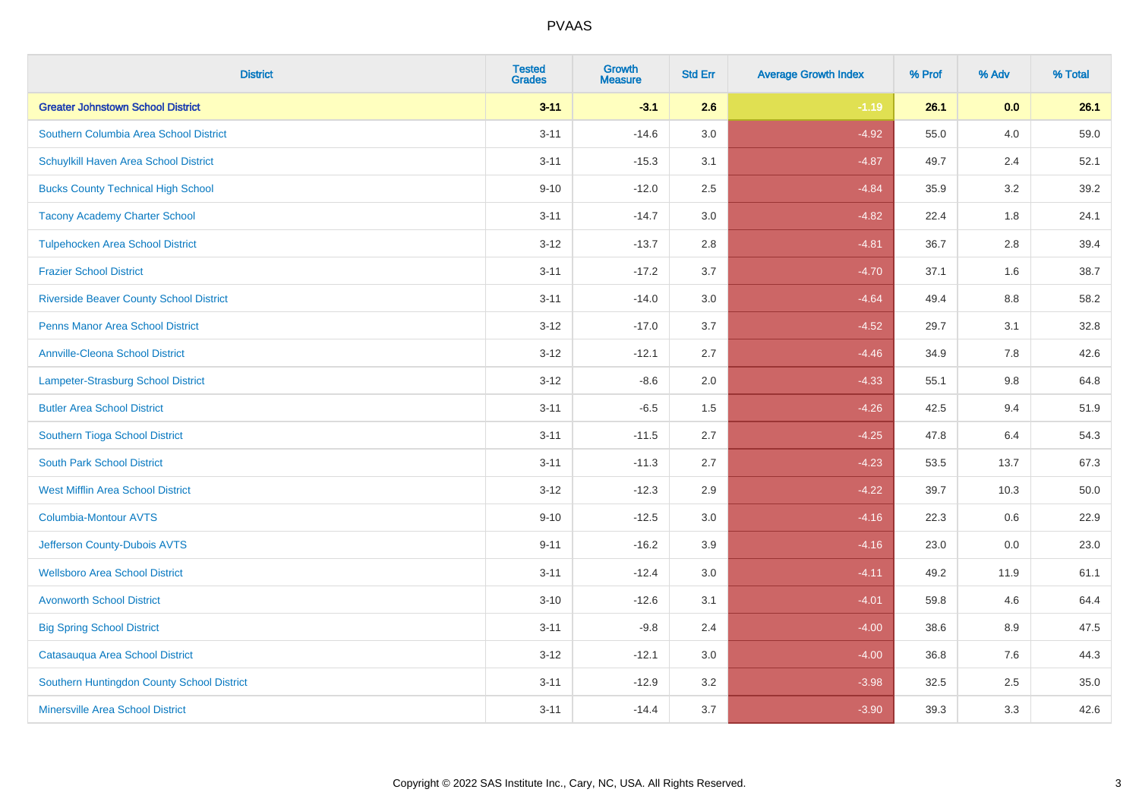| <b>District</b>                                | <b>Tested</b><br><b>Grades</b> | <b>Growth</b><br><b>Measure</b> | <b>Std Err</b> | <b>Average Growth Index</b> | % Prof | % Adv   | % Total |
|------------------------------------------------|--------------------------------|---------------------------------|----------------|-----------------------------|--------|---------|---------|
| <b>Greater Johnstown School District</b>       | $3 - 11$                       | $-3.1$                          | 2.6            | $-1.19$                     | 26.1   | 0.0     | 26.1    |
| Southern Columbia Area School District         | $3 - 11$                       | $-14.6$                         | 3.0            | $-4.92$                     | 55.0   | 4.0     | 59.0    |
| Schuylkill Haven Area School District          | $3 - 11$                       | $-15.3$                         | 3.1            | $-4.87$                     | 49.7   | 2.4     | 52.1    |
| <b>Bucks County Technical High School</b>      | $9 - 10$                       | $-12.0$                         | 2.5            | $-4.84$                     | 35.9   | 3.2     | 39.2    |
| <b>Tacony Academy Charter School</b>           | $3 - 11$                       | $-14.7$                         | 3.0            | $-4.82$                     | 22.4   | 1.8     | 24.1    |
| <b>Tulpehocken Area School District</b>        | $3 - 12$                       | $-13.7$                         | 2.8            | $-4.81$                     | 36.7   | 2.8     | 39.4    |
| <b>Frazier School District</b>                 | $3 - 11$                       | $-17.2$                         | 3.7            | $-4.70$                     | 37.1   | 1.6     | 38.7    |
| <b>Riverside Beaver County School District</b> | $3 - 11$                       | $-14.0$                         | 3.0            | $-4.64$                     | 49.4   | 8.8     | 58.2    |
| <b>Penns Manor Area School District</b>        | $3 - 12$                       | $-17.0$                         | 3.7            | $-4.52$                     | 29.7   | 3.1     | 32.8    |
| <b>Annville-Cleona School District</b>         | $3 - 12$                       | $-12.1$                         | 2.7            | $-4.46$                     | 34.9   | 7.8     | 42.6    |
| Lampeter-Strasburg School District             | $3 - 12$                       | $-8.6$                          | 2.0            | $-4.33$                     | 55.1   | 9.8     | 64.8    |
| <b>Butler Area School District</b>             | $3 - 11$                       | $-6.5$                          | 1.5            | $-4.26$                     | 42.5   | 9.4     | 51.9    |
| Southern Tioga School District                 | $3 - 11$                       | $-11.5$                         | 2.7            | $-4.25$                     | 47.8   | 6.4     | 54.3    |
| <b>South Park School District</b>              | $3 - 11$                       | $-11.3$                         | 2.7            | $-4.23$                     | 53.5   | 13.7    | 67.3    |
| <b>West Mifflin Area School District</b>       | $3 - 12$                       | $-12.3$                         | 2.9            | $-4.22$                     | 39.7   | 10.3    | 50.0    |
| <b>Columbia-Montour AVTS</b>                   | $9 - 10$                       | $-12.5$                         | 3.0            | $-4.16$                     | 22.3   | $0.6\,$ | 22.9    |
| Jefferson County-Dubois AVTS                   | $9 - 11$                       | $-16.2$                         | 3.9            | $-4.16$                     | 23.0   | 0.0     | 23.0    |
| <b>Wellsboro Area School District</b>          | $3 - 11$                       | $-12.4$                         | 3.0            | $-4.11$                     | 49.2   | 11.9    | 61.1    |
| <b>Avonworth School District</b>               | $3 - 10$                       | $-12.6$                         | 3.1            | $-4.01$                     | 59.8   | 4.6     | 64.4    |
| <b>Big Spring School District</b>              | $3 - 11$                       | $-9.8$                          | 2.4            | $-4.00$                     | 38.6   | 8.9     | 47.5    |
| Catasauqua Area School District                | $3 - 12$                       | $-12.1$                         | 3.0            | $-4.00$                     | 36.8   | 7.6     | 44.3    |
| Southern Huntingdon County School District     | $3 - 11$                       | $-12.9$                         | 3.2            | $-3.98$                     | 32.5   | 2.5     | 35.0    |
| <b>Minersville Area School District</b>        | $3 - 11$                       | $-14.4$                         | 3.7            | $-3.90$                     | 39.3   | 3.3     | 42.6    |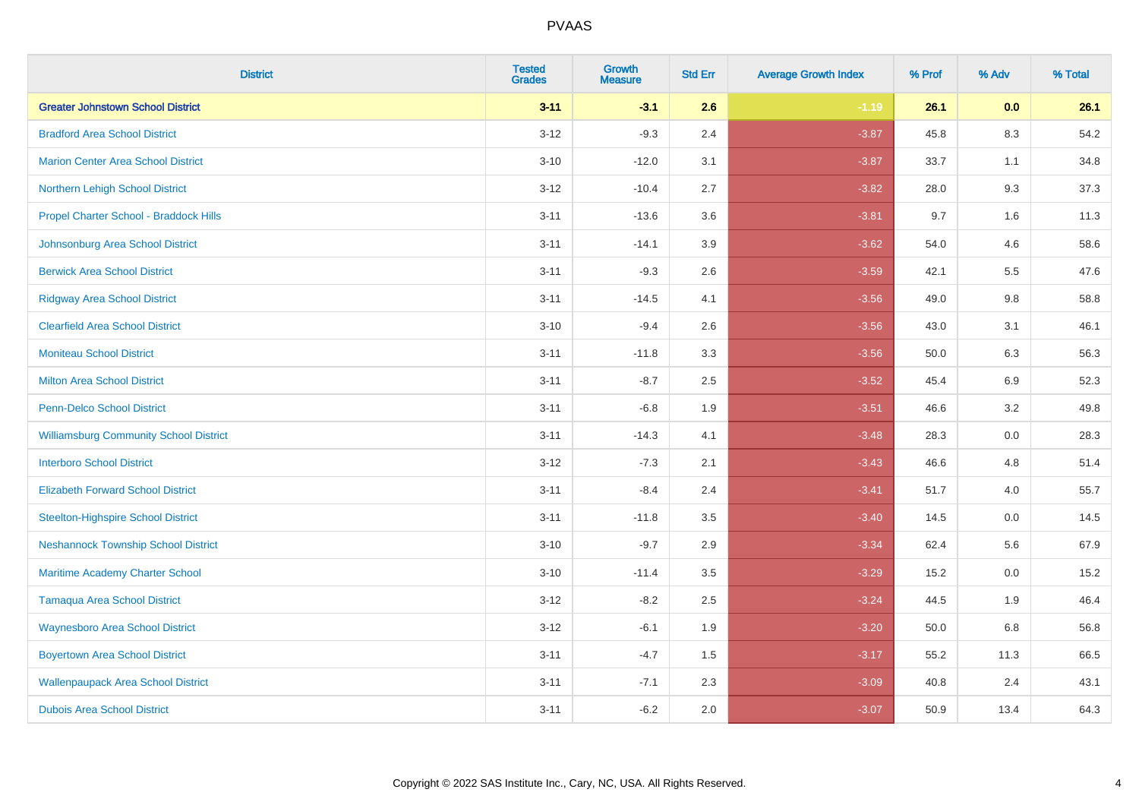| <b>District</b>                               | <b>Tested</b><br><b>Grades</b> | <b>Growth</b><br><b>Measure</b> | <b>Std Err</b> | <b>Average Growth Index</b> | % Prof | % Adv   | % Total |
|-----------------------------------------------|--------------------------------|---------------------------------|----------------|-----------------------------|--------|---------|---------|
| <b>Greater Johnstown School District</b>      | $3 - 11$                       | $-3.1$                          | 2.6            | $-1.19$                     | 26.1   | 0.0     | 26.1    |
| <b>Bradford Area School District</b>          | $3 - 12$                       | $-9.3$                          | 2.4            | $-3.87$                     | 45.8   | 8.3     | 54.2    |
| <b>Marion Center Area School District</b>     | $3 - 10$                       | $-12.0$                         | 3.1            | $-3.87$                     | 33.7   | 1.1     | 34.8    |
| Northern Lehigh School District               | $3 - 12$                       | $-10.4$                         | 2.7            | $-3.82$                     | 28.0   | 9.3     | 37.3    |
| Propel Charter School - Braddock Hills        | $3 - 11$                       | $-13.6$                         | 3.6            | $-3.81$                     | 9.7    | 1.6     | 11.3    |
| Johnsonburg Area School District              | $3 - 11$                       | $-14.1$                         | 3.9            | $-3.62$                     | 54.0   | 4.6     | 58.6    |
| <b>Berwick Area School District</b>           | $3 - 11$                       | $-9.3$                          | 2.6            | $-3.59$                     | 42.1   | 5.5     | 47.6    |
| <b>Ridgway Area School District</b>           | $3 - 11$                       | $-14.5$                         | 4.1            | $-3.56$                     | 49.0   | 9.8     | 58.8    |
| <b>Clearfield Area School District</b>        | $3 - 10$                       | $-9.4$                          | 2.6            | $-3.56$                     | 43.0   | 3.1     | 46.1    |
| <b>Moniteau School District</b>               | $3 - 11$                       | $-11.8$                         | 3.3            | $-3.56$                     | 50.0   | 6.3     | 56.3    |
| <b>Milton Area School District</b>            | $3 - 11$                       | $-8.7$                          | 2.5            | $-3.52$                     | 45.4   | 6.9     | 52.3    |
| <b>Penn-Delco School District</b>             | $3 - 11$                       | $-6.8$                          | 1.9            | $-3.51$                     | 46.6   | 3.2     | 49.8    |
| <b>Williamsburg Community School District</b> | $3 - 11$                       | $-14.3$                         | 4.1            | $-3.48$                     | 28.3   | $0.0\,$ | 28.3    |
| <b>Interboro School District</b>              | $3 - 12$                       | $-7.3$                          | 2.1            | $-3.43$                     | 46.6   | 4.8     | 51.4    |
| <b>Elizabeth Forward School District</b>      | $3 - 11$                       | $-8.4$                          | 2.4            | $-3.41$                     | 51.7   | 4.0     | 55.7    |
| <b>Steelton-Highspire School District</b>     | $3 - 11$                       | $-11.8$                         | 3.5            | $-3.40$                     | 14.5   | $0.0\,$ | 14.5    |
| <b>Neshannock Township School District</b>    | $3 - 10$                       | $-9.7$                          | 2.9            | $-3.34$                     | 62.4   | 5.6     | 67.9    |
| Maritime Academy Charter School               | $3 - 10$                       | $-11.4$                         | 3.5            | $-3.29$                     | 15.2   | 0.0     | 15.2    |
| <b>Tamaqua Area School District</b>           | $3 - 12$                       | $-8.2$                          | 2.5            | $-3.24$                     | 44.5   | 1.9     | 46.4    |
| <b>Waynesboro Area School District</b>        | $3 - 12$                       | $-6.1$                          | 1.9            | $-3.20$                     | 50.0   | 6.8     | 56.8    |
| <b>Boyertown Area School District</b>         | $3 - 11$                       | $-4.7$                          | 1.5            | $-3.17$                     | 55.2   | 11.3    | 66.5    |
| <b>Wallenpaupack Area School District</b>     | $3 - 11$                       | $-7.1$                          | 2.3            | $-3.09$                     | 40.8   | 2.4     | 43.1    |
| <b>Dubois Area School District</b>            | $3 - 11$                       | $-6.2$                          | 2.0            | $-3.07$                     | 50.9   | 13.4    | 64.3    |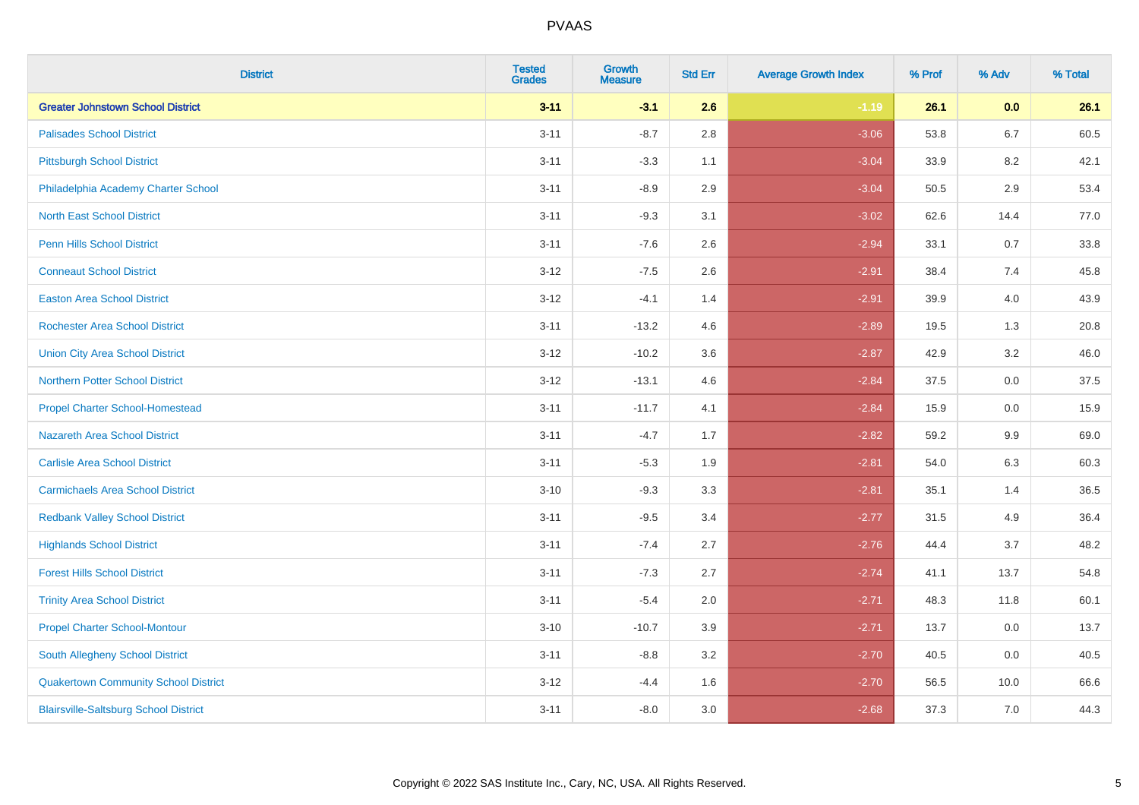| <b>District</b>                              | <b>Tested</b><br><b>Grades</b> | <b>Growth</b><br><b>Measure</b> | <b>Std Err</b> | <b>Average Growth Index</b> | % Prof | % Adv   | % Total |
|----------------------------------------------|--------------------------------|---------------------------------|----------------|-----------------------------|--------|---------|---------|
| <b>Greater Johnstown School District</b>     | $3 - 11$                       | $-3.1$                          | 2.6            | $-1.19$                     | 26.1   | 0.0     | 26.1    |
| <b>Palisades School District</b>             | $3 - 11$                       | $-8.7$                          | $2.8\,$        | $-3.06$                     | 53.8   | $6.7\,$ | 60.5    |
| <b>Pittsburgh School District</b>            | $3 - 11$                       | $-3.3$                          | 1.1            | $-3.04$                     | 33.9   | 8.2     | 42.1    |
| Philadelphia Academy Charter School          | $3 - 11$                       | $-8.9$                          | 2.9            | $-3.04$                     | 50.5   | 2.9     | 53.4    |
| <b>North East School District</b>            | $3 - 11$                       | $-9.3$                          | 3.1            | $-3.02$                     | 62.6   | 14.4    | 77.0    |
| <b>Penn Hills School District</b>            | $3 - 11$                       | $-7.6$                          | 2.6            | $-2.94$                     | 33.1   | 0.7     | 33.8    |
| <b>Conneaut School District</b>              | $3 - 12$                       | $-7.5$                          | 2.6            | $-2.91$                     | 38.4   | 7.4     | 45.8    |
| <b>Easton Area School District</b>           | $3 - 12$                       | $-4.1$                          | 1.4            | $-2.91$                     | 39.9   | 4.0     | 43.9    |
| <b>Rochester Area School District</b>        | $3 - 11$                       | $-13.2$                         | 4.6            | $-2.89$                     | 19.5   | 1.3     | 20.8    |
| <b>Union City Area School District</b>       | $3 - 12$                       | $-10.2$                         | 3.6            | $-2.87$                     | 42.9   | 3.2     | 46.0    |
| <b>Northern Potter School District</b>       | $3 - 12$                       | $-13.1$                         | 4.6            | $-2.84$                     | 37.5   | 0.0     | 37.5    |
| <b>Propel Charter School-Homestead</b>       | $3 - 11$                       | $-11.7$                         | 4.1            | $-2.84$                     | 15.9   | 0.0     | 15.9    |
| Nazareth Area School District                | $3 - 11$                       | $-4.7$                          | 1.7            | $-2.82$                     | 59.2   | $9.9\,$ | 69.0    |
| <b>Carlisle Area School District</b>         | $3 - 11$                       | $-5.3$                          | 1.9            | $-2.81$                     | 54.0   | 6.3     | 60.3    |
| <b>Carmichaels Area School District</b>      | $3 - 10$                       | $-9.3$                          | 3.3            | $-2.81$                     | 35.1   | 1.4     | 36.5    |
| <b>Redbank Valley School District</b>        | $3 - 11$                       | $-9.5$                          | 3.4            | $-2.77$                     | 31.5   | 4.9     | 36.4    |
| <b>Highlands School District</b>             | $3 - 11$                       | $-7.4$                          | 2.7            | $-2.76$                     | 44.4   | 3.7     | 48.2    |
| <b>Forest Hills School District</b>          | $3 - 11$                       | $-7.3$                          | 2.7            | $-2.74$                     | 41.1   | 13.7    | 54.8    |
| <b>Trinity Area School District</b>          | $3 - 11$                       | $-5.4$                          | 2.0            | $-2.71$                     | 48.3   | 11.8    | 60.1    |
| <b>Propel Charter School-Montour</b>         | $3 - 10$                       | $-10.7$                         | 3.9            | $-2.71$                     | 13.7   | 0.0     | 13.7    |
| South Allegheny School District              | $3 - 11$                       | $-8.8$                          | 3.2            | $-2.70$                     | 40.5   | 0.0     | 40.5    |
| <b>Quakertown Community School District</b>  | $3 - 12$                       | $-4.4$                          | 1.6            | $-2.70$                     | 56.5   | 10.0    | 66.6    |
| <b>Blairsville-Saltsburg School District</b> | $3 - 11$                       | $-8.0$                          | 3.0            | $-2.68$                     | 37.3   | 7.0     | 44.3    |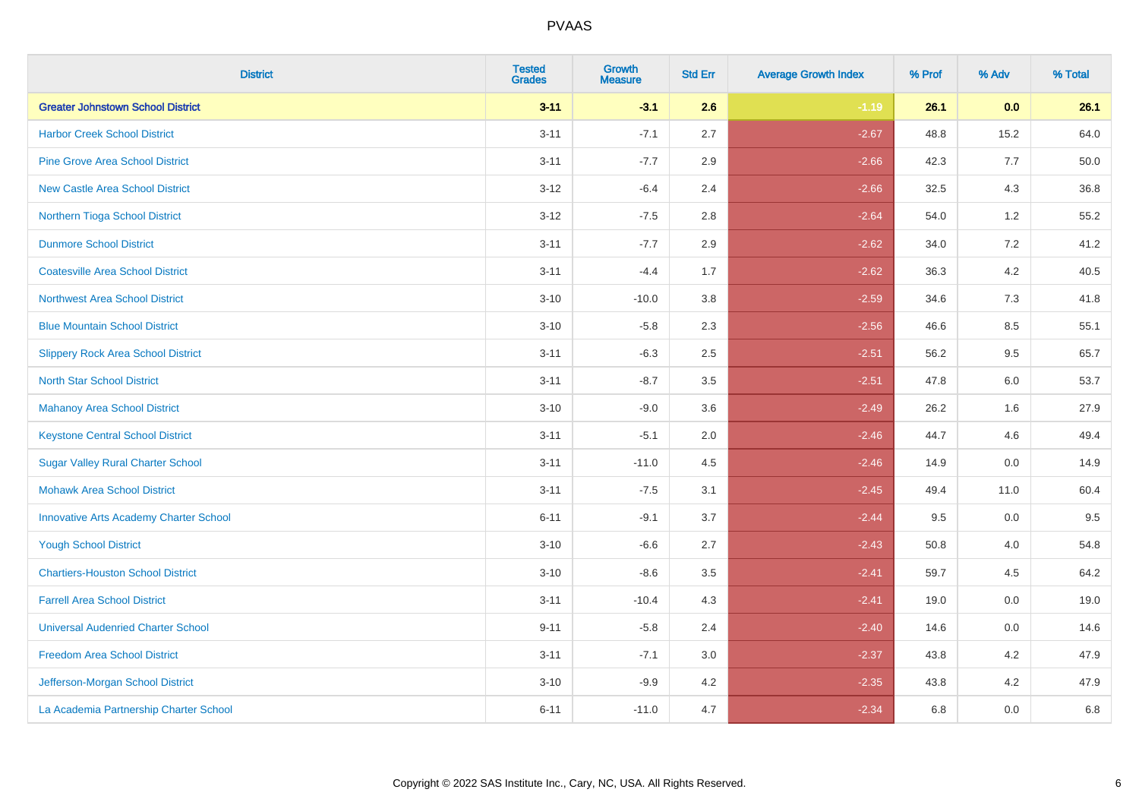| <b>District</b>                               | <b>Tested</b><br><b>Grades</b> | Growth<br><b>Measure</b> | <b>Std Err</b> | <b>Average Growth Index</b> | % Prof | % Adv   | % Total |
|-----------------------------------------------|--------------------------------|--------------------------|----------------|-----------------------------|--------|---------|---------|
| <b>Greater Johnstown School District</b>      | $3 - 11$                       | $-3.1$                   | 2.6            | $-1.19$                     | 26.1   | 0.0     | 26.1    |
| <b>Harbor Creek School District</b>           | $3 - 11$                       | $-7.1$                   | 2.7            | $-2.67$                     | 48.8   | 15.2    | 64.0    |
| <b>Pine Grove Area School District</b>        | $3 - 11$                       | $-7.7$                   | 2.9            | $-2.66$                     | 42.3   | 7.7     | 50.0    |
| <b>New Castle Area School District</b>        | $3-12$                         | $-6.4$                   | 2.4            | $-2.66$                     | 32.5   | $4.3$   | 36.8    |
| Northern Tioga School District                | $3 - 12$                       | $-7.5$                   | 2.8            | $-2.64$                     | 54.0   | 1.2     | 55.2    |
| <b>Dunmore School District</b>                | $3 - 11$                       | $-7.7$                   | 2.9            | $-2.62$                     | 34.0   | 7.2     | 41.2    |
| <b>Coatesville Area School District</b>       | $3 - 11$                       | $-4.4$                   | 1.7            | $-2.62$                     | 36.3   | $4.2\,$ | 40.5    |
| <b>Northwest Area School District</b>         | $3 - 10$                       | $-10.0$                  | 3.8            | $-2.59$                     | 34.6   | 7.3     | 41.8    |
| <b>Blue Mountain School District</b>          | $3 - 10$                       | $-5.8$                   | 2.3            | $-2.56$                     | 46.6   | 8.5     | 55.1    |
| <b>Slippery Rock Area School District</b>     | $3 - 11$                       | $-6.3$                   | 2.5            | $-2.51$                     | 56.2   | $9.5\,$ | 65.7    |
| <b>North Star School District</b>             | $3 - 11$                       | $-8.7$                   | 3.5            | $-2.51$                     | 47.8   | 6.0     | 53.7    |
| <b>Mahanoy Area School District</b>           | $3 - 10$                       | $-9.0$                   | 3.6            | $-2.49$                     | 26.2   | 1.6     | 27.9    |
| <b>Keystone Central School District</b>       | $3 - 11$                       | $-5.1$                   | 2.0            | $-2.46$                     | 44.7   | 4.6     | 49.4    |
| <b>Sugar Valley Rural Charter School</b>      | $3 - 11$                       | $-11.0$                  | 4.5            | $-2.46$                     | 14.9   | $0.0\,$ | 14.9    |
| <b>Mohawk Area School District</b>            | $3 - 11$                       | $-7.5$                   | 3.1            | $-2.45$                     | 49.4   | 11.0    | 60.4    |
| <b>Innovative Arts Academy Charter School</b> | $6 - 11$                       | $-9.1$                   | 3.7            | $-2.44$                     | 9.5    | 0.0     | 9.5     |
| <b>Yough School District</b>                  | $3 - 10$                       | $-6.6$                   | 2.7            | $-2.43$                     | 50.8   | 4.0     | 54.8    |
| <b>Chartiers-Houston School District</b>      | $3 - 10$                       | $-8.6$                   | 3.5            | $-2.41$                     | 59.7   | 4.5     | 64.2    |
| <b>Farrell Area School District</b>           | $3 - 11$                       | $-10.4$                  | 4.3            | $-2.41$                     | 19.0   | 0.0     | 19.0    |
| <b>Universal Audenried Charter School</b>     | $9 - 11$                       | $-5.8$                   | 2.4            | $-2.40$                     | 14.6   | 0.0     | 14.6    |
| <b>Freedom Area School District</b>           | $3 - 11$                       | $-7.1$                   | 3.0            | $-2.37$                     | 43.8   | 4.2     | 47.9    |
| Jefferson-Morgan School District              | $3 - 10$                       | $-9.9$                   | 4.2            | $-2.35$                     | 43.8   | 4.2     | 47.9    |
| La Academia Partnership Charter School        | $6 - 11$                       | $-11.0$                  | 4.7            | $-2.34$                     | 6.8    | 0.0     | 6.8     |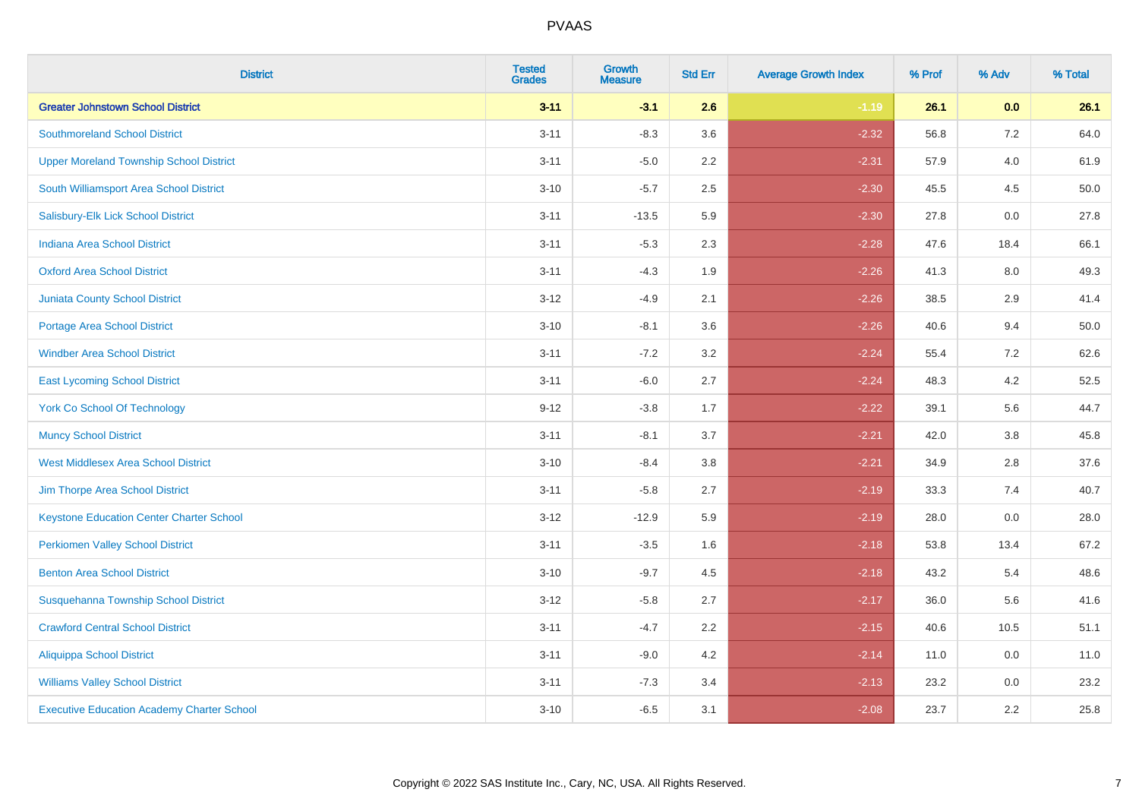| <b>District</b>                                   | <b>Tested</b><br><b>Grades</b> | <b>Growth</b><br><b>Measure</b> | <b>Std Err</b> | <b>Average Growth Index</b> | % Prof | % Adv   | % Total |
|---------------------------------------------------|--------------------------------|---------------------------------|----------------|-----------------------------|--------|---------|---------|
| <b>Greater Johnstown School District</b>          | $3 - 11$                       | $-3.1$                          | 2.6            | $-1.19$                     | 26.1   | 0.0     | 26.1    |
| <b>Southmoreland School District</b>              | $3 - 11$                       | $-8.3$                          | 3.6            | $-2.32$                     | 56.8   | $7.2\,$ | 64.0    |
| <b>Upper Moreland Township School District</b>    | $3 - 11$                       | $-5.0$                          | 2.2            | $-2.31$                     | 57.9   | 4.0     | 61.9    |
| South Williamsport Area School District           | $3 - 10$                       | $-5.7$                          | 2.5            | $-2.30$                     | 45.5   | 4.5     | 50.0    |
| Salisbury-Elk Lick School District                | $3 - 11$                       | $-13.5$                         | 5.9            | $-2.30$                     | 27.8   | 0.0     | 27.8    |
| Indiana Area School District                      | $3 - 11$                       | $-5.3$                          | 2.3            | $-2.28$                     | 47.6   | 18.4    | 66.1    |
| <b>Oxford Area School District</b>                | $3 - 11$                       | $-4.3$                          | 1.9            | $-2.26$                     | 41.3   | 8.0     | 49.3    |
| <b>Juniata County School District</b>             | $3 - 12$                       | $-4.9$                          | 2.1            | $-2.26$                     | 38.5   | 2.9     | 41.4    |
| <b>Portage Area School District</b>               | $3 - 10$                       | $-8.1$                          | 3.6            | $-2.26$                     | 40.6   | 9.4     | 50.0    |
| <b>Windber Area School District</b>               | $3 - 11$                       | $-7.2$                          | 3.2            | $-2.24$                     | 55.4   | 7.2     | 62.6    |
| <b>East Lycoming School District</b>              | $3 - 11$                       | $-6.0$                          | 2.7            | $-2.24$                     | 48.3   | 4.2     | 52.5    |
| <b>York Co School Of Technology</b>               | $9 - 12$                       | $-3.8$                          | 1.7            | $-2.22$                     | 39.1   | 5.6     | 44.7    |
| <b>Muncy School District</b>                      | $3 - 11$                       | $-8.1$                          | 3.7            | $-2.21$                     | 42.0   | $3.8\,$ | 45.8    |
| <b>West Middlesex Area School District</b>        | $3 - 10$                       | $-8.4$                          | $3.8\,$        | $-2.21$                     | 34.9   | 2.8     | 37.6    |
| Jim Thorpe Area School District                   | $3 - 11$                       | $-5.8$                          | 2.7            | $-2.19$                     | 33.3   | 7.4     | 40.7    |
| <b>Keystone Education Center Charter School</b>   | $3 - 12$                       | $-12.9$                         | 5.9            | $-2.19$                     | 28.0   | $0.0\,$ | 28.0    |
| <b>Perkiomen Valley School District</b>           | $3 - 11$                       | $-3.5$                          | 1.6            | $-2.18$                     | 53.8   | 13.4    | 67.2    |
| <b>Benton Area School District</b>                | $3 - 10$                       | $-9.7$                          | 4.5            | $-2.18$                     | 43.2   | 5.4     | 48.6    |
| Susquehanna Township School District              | $3 - 12$                       | $-5.8$                          | 2.7            | $-2.17$                     | 36.0   | 5.6     | 41.6    |
| <b>Crawford Central School District</b>           | $3 - 11$                       | $-4.7$                          | 2.2            | $-2.15$                     | 40.6   | 10.5    | 51.1    |
| <b>Aliquippa School District</b>                  | $3 - 11$                       | $-9.0$                          | 4.2            | $-2.14$                     | 11.0   | 0.0     | 11.0    |
| <b>Williams Valley School District</b>            | $3 - 11$                       | $-7.3$                          | 3.4            | $-2.13$                     | 23.2   | 0.0     | 23.2    |
| <b>Executive Education Academy Charter School</b> | $3 - 10$                       | $-6.5$                          | 3.1            | $-2.08$                     | 23.7   | 2.2     | 25.8    |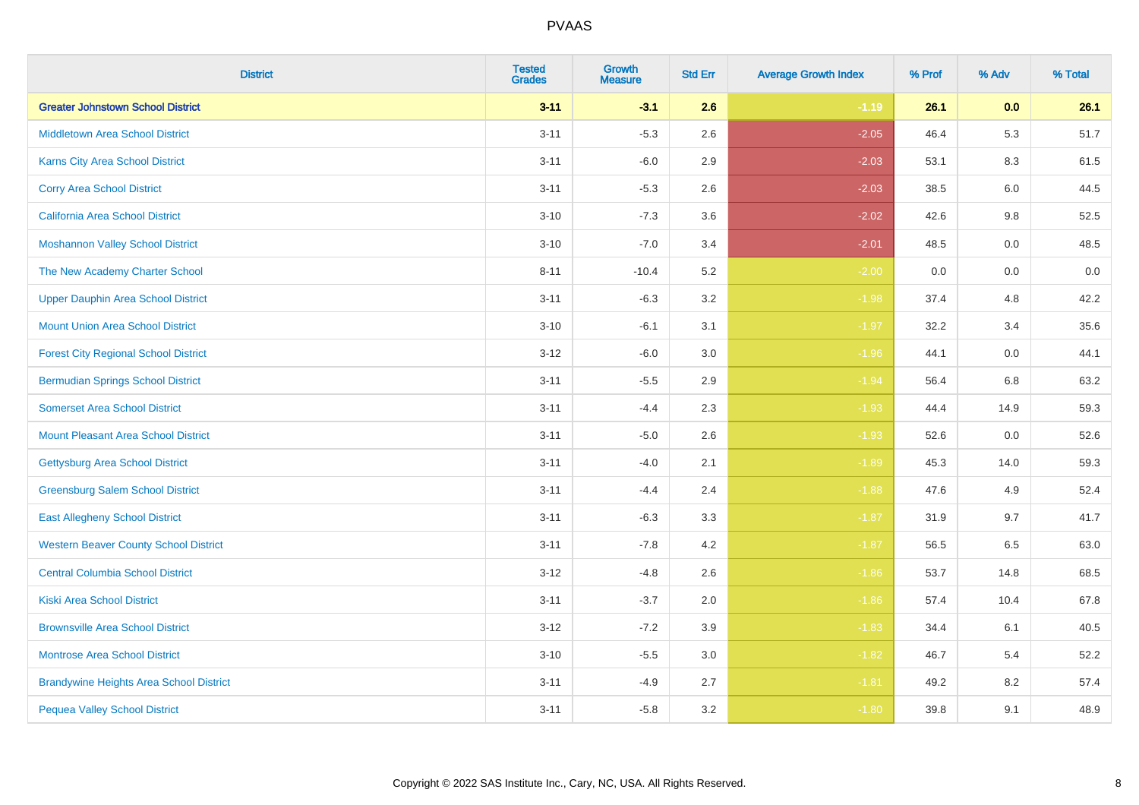| <b>District</b>                                | <b>Tested</b><br><b>Grades</b> | <b>Growth</b><br><b>Measure</b> | <b>Std Err</b> | <b>Average Growth Index</b> | % Prof | % Adv | % Total |
|------------------------------------------------|--------------------------------|---------------------------------|----------------|-----------------------------|--------|-------|---------|
| <b>Greater Johnstown School District</b>       | $3 - 11$                       | $-3.1$                          | 2.6            | $-1.19$                     | 26.1   | 0.0   | 26.1    |
| <b>Middletown Area School District</b>         | $3 - 11$                       | $-5.3$                          | 2.6            | $-2.05$                     | 46.4   | 5.3   | 51.7    |
| <b>Karns City Area School District</b>         | $3 - 11$                       | $-6.0$                          | 2.9            | $-2.03$                     | 53.1   | 8.3   | 61.5    |
| <b>Corry Area School District</b>              | $3 - 11$                       | $-5.3$                          | 2.6            | $-2.03$                     | 38.5   | 6.0   | 44.5    |
| <b>California Area School District</b>         | $3 - 10$                       | $-7.3$                          | 3.6            | $-2.02$                     | 42.6   | 9.8   | 52.5    |
| <b>Moshannon Valley School District</b>        | $3 - 10$                       | $-7.0$                          | 3.4            | $-2.01$                     | 48.5   | 0.0   | 48.5    |
| The New Academy Charter School                 | $8 - 11$                       | $-10.4$                         | 5.2            | $-2.00$                     | 0.0    | 0.0   | 0.0     |
| <b>Upper Dauphin Area School District</b>      | $3 - 11$                       | $-6.3$                          | 3.2            | $-1.98$                     | 37.4   | 4.8   | 42.2    |
| <b>Mount Union Area School District</b>        | $3 - 10$                       | $-6.1$                          | 3.1            | $-1.97$                     | 32.2   | 3.4   | 35.6    |
| <b>Forest City Regional School District</b>    | $3 - 12$                       | $-6.0$                          | 3.0            | $-1.96$                     | 44.1   | 0.0   | 44.1    |
| <b>Bermudian Springs School District</b>       | $3 - 11$                       | $-5.5$                          | 2.9            | $-1.94$                     | 56.4   | 6.8   | 63.2    |
| <b>Somerset Area School District</b>           | $3 - 11$                       | $-4.4$                          | 2.3            | $-1.93$                     | 44.4   | 14.9  | 59.3    |
| <b>Mount Pleasant Area School District</b>     | $3 - 11$                       | $-5.0$                          | 2.6            | $-1.93$                     | 52.6   | 0.0   | 52.6    |
| Gettysburg Area School District                | $3 - 11$                       | $-4.0$                          | 2.1            | $-1.89$                     | 45.3   | 14.0  | 59.3    |
| <b>Greensburg Salem School District</b>        | $3 - 11$                       | $-4.4$                          | 2.4            | $-1.88$                     | 47.6   | 4.9   | 52.4    |
| <b>East Allegheny School District</b>          | $3 - 11$                       | $-6.3$                          | 3.3            | $-1.87$                     | 31.9   | 9.7   | 41.7    |
| <b>Western Beaver County School District</b>   | $3 - 11$                       | $-7.8$                          | 4.2            | $-1.87$                     | 56.5   | 6.5   | 63.0    |
| <b>Central Columbia School District</b>        | $3 - 12$                       | $-4.8$                          | 2.6            | $-1.86$                     | 53.7   | 14.8  | 68.5    |
| <b>Kiski Area School District</b>              | $3 - 11$                       | $-3.7$                          | 2.0            | $-1.86$                     | 57.4   | 10.4  | 67.8    |
| <b>Brownsville Area School District</b>        | $3 - 12$                       | $-7.2$                          | 3.9            | $-1.83$                     | 34.4   | 6.1   | 40.5    |
| <b>Montrose Area School District</b>           | $3 - 10$                       | $-5.5$                          | 3.0            | $-1.82$                     | 46.7   | 5.4   | 52.2    |
| <b>Brandywine Heights Area School District</b> | $3 - 11$                       | $-4.9$                          | 2.7            | $-1.81$                     | 49.2   | 8.2   | 57.4    |
| <b>Pequea Valley School District</b>           | $3 - 11$                       | $-5.8$                          | 3.2            | $-1.80$                     | 39.8   | 9.1   | 48.9    |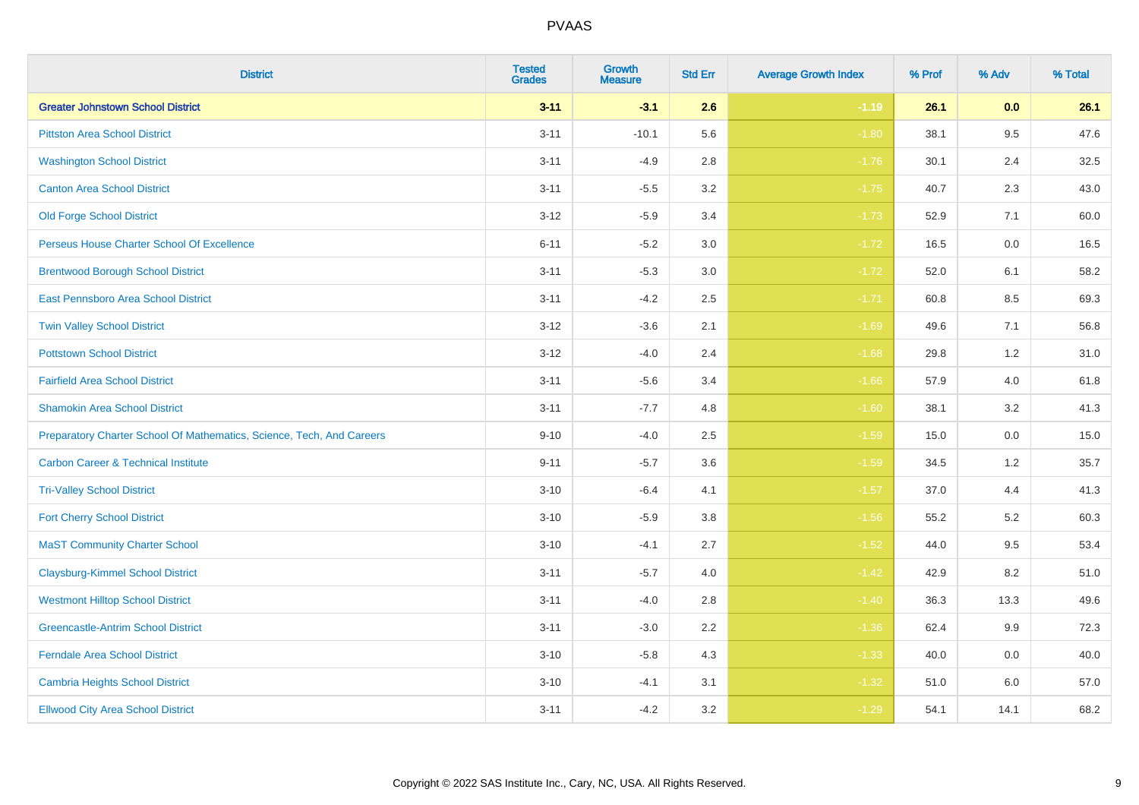| <b>District</b>                                                       | <b>Tested</b><br><b>Grades</b> | Growth<br><b>Measure</b> | <b>Std Err</b> | <b>Average Growth Index</b> | % Prof | % Adv   | % Total |
|-----------------------------------------------------------------------|--------------------------------|--------------------------|----------------|-----------------------------|--------|---------|---------|
| <b>Greater Johnstown School District</b>                              | $3 - 11$                       | $-3.1$                   | 2.6            | $-1.19$                     | 26.1   | 0.0     | 26.1    |
| <b>Pittston Area School District</b>                                  | $3 - 11$                       | $-10.1$                  | 5.6            | $-1.80$                     | 38.1   | 9.5     | 47.6    |
| <b>Washington School District</b>                                     | $3 - 11$                       | $-4.9$                   | 2.8            | $-1.76$                     | 30.1   | 2.4     | 32.5    |
| <b>Canton Area School District</b>                                    | $3 - 11$                       | $-5.5$                   | 3.2            | $-1.75$                     | 40.7   | 2.3     | 43.0    |
| <b>Old Forge School District</b>                                      | $3 - 12$                       | $-5.9$                   | 3.4            | $-1.73$                     | 52.9   | 7.1     | 60.0    |
| Perseus House Charter School Of Excellence                            | $6 - 11$                       | $-5.2$                   | 3.0            | $-1.72$                     | 16.5   | 0.0     | 16.5    |
| <b>Brentwood Borough School District</b>                              | $3 - 11$                       | $-5.3$                   | 3.0            | $-1.72$                     | 52.0   | 6.1     | 58.2    |
| <b>East Pennsboro Area School District</b>                            | $3 - 11$                       | $-4.2$                   | 2.5            | $-1.71$                     | 60.8   | 8.5     | 69.3    |
| <b>Twin Valley School District</b>                                    | $3 - 12$                       | $-3.6$                   | 2.1            | $-1.69$                     | 49.6   | 7.1     | 56.8    |
| <b>Pottstown School District</b>                                      | $3 - 12$                       | $-4.0$                   | 2.4            | $-1.68$                     | 29.8   | 1.2     | 31.0    |
| <b>Fairfield Area School District</b>                                 | $3 - 11$                       | $-5.6$                   | 3.4            | $-1.66$                     | 57.9   | 4.0     | 61.8    |
| <b>Shamokin Area School District</b>                                  | $3 - 11$                       | $-7.7$                   | 4.8            | $-1.60$                     | 38.1   | 3.2     | 41.3    |
| Preparatory Charter School Of Mathematics, Science, Tech, And Careers | $9 - 10$                       | $-4.0$                   | 2.5            | $-1.59$                     | 15.0   | $0.0\,$ | 15.0    |
| <b>Carbon Career &amp; Technical Institute</b>                        | $9 - 11$                       | $-5.7$                   | 3.6            | $-1.59$                     | 34.5   | 1.2     | 35.7    |
| <b>Tri-Valley School District</b>                                     | $3 - 10$                       | $-6.4$                   | 4.1            | $-1.57$                     | 37.0   | 4.4     | 41.3    |
| <b>Fort Cherry School District</b>                                    | $3 - 10$                       | $-5.9$                   | 3.8            | $-1.56$                     | 55.2   | 5.2     | 60.3    |
| <b>MaST Community Charter School</b>                                  | $3 - 10$                       | $-4.1$                   | 2.7            | $-1.52$                     | 44.0   | 9.5     | 53.4    |
| <b>Claysburg-Kimmel School District</b>                               | $3 - 11$                       | $-5.7$                   | 4.0            | $-1.42$                     | 42.9   | 8.2     | 51.0    |
| <b>Westmont Hilltop School District</b>                               | $3 - 11$                       | $-4.0$                   | 2.8            | $-1.40$                     | 36.3   | 13.3    | 49.6    |
| <b>Greencastle-Antrim School District</b>                             | $3 - 11$                       | $-3.0$                   | 2.2            | $-1.36$                     | 62.4   | $9.9\,$ | 72.3    |
| <b>Ferndale Area School District</b>                                  | $3 - 10$                       | $-5.8$                   | 4.3            | $-1.33$                     | 40.0   | 0.0     | 40.0    |
| Cambria Heights School District                                       | $3 - 10$                       | $-4.1$                   | 3.1            | $-1.32$                     | 51.0   | 6.0     | 57.0    |
| <b>Ellwood City Area School District</b>                              | $3 - 11$                       | $-4.2$                   | 3.2            | $-1.29$                     | 54.1   | 14.1    | 68.2    |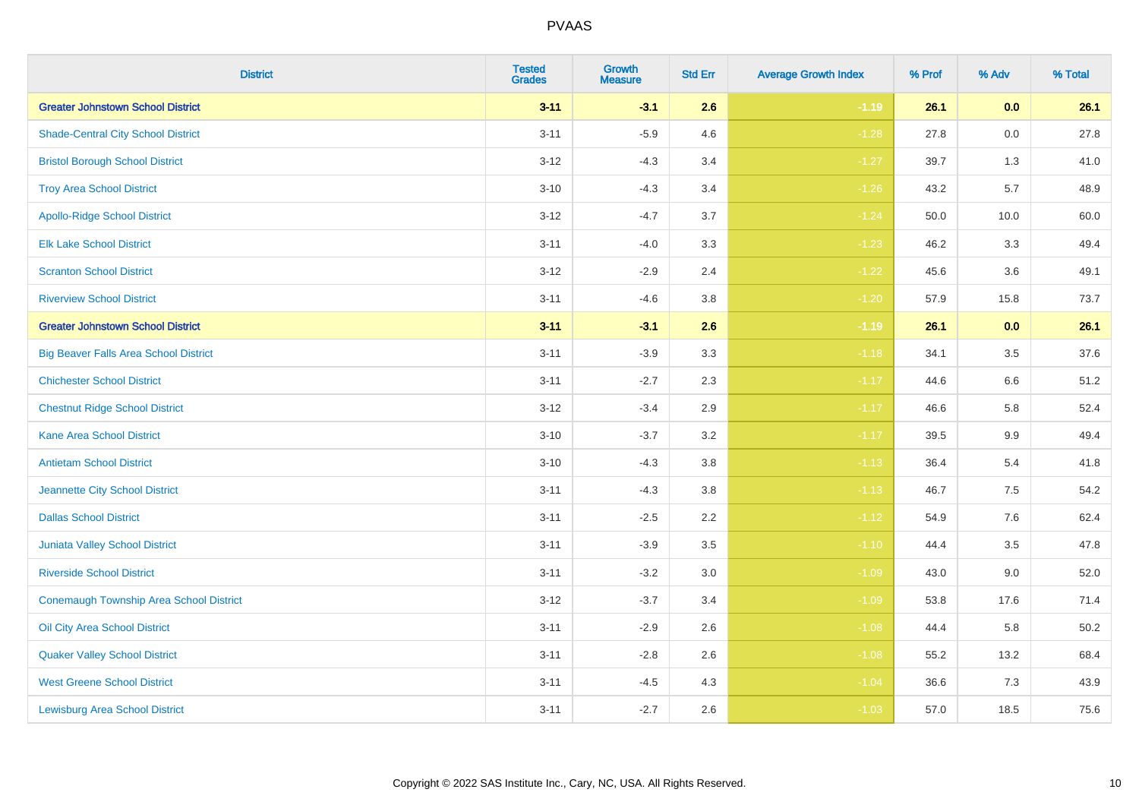| <b>District</b>                              | <b>Tested</b><br><b>Grades</b> | <b>Growth</b><br><b>Measure</b> | <b>Std Err</b> | <b>Average Growth Index</b> | % Prof | % Adv   | % Total |
|----------------------------------------------|--------------------------------|---------------------------------|----------------|-----------------------------|--------|---------|---------|
| <b>Greater Johnstown School District</b>     | $3 - 11$                       | $-3.1$                          | 2.6            | $-1.19$                     | 26.1   | 0.0     | 26.1    |
| <b>Shade-Central City School District</b>    | $3 - 11$                       | $-5.9$                          | 4.6            | $-1.28$                     | 27.8   | 0.0     | 27.8    |
| <b>Bristol Borough School District</b>       | $3 - 12$                       | $-4.3$                          | 3.4            | $-1.27$                     | 39.7   | 1.3     | 41.0    |
| <b>Troy Area School District</b>             | $3 - 10$                       | $-4.3$                          | 3.4            | $-1.26$                     | 43.2   | 5.7     | 48.9    |
| <b>Apollo-Ridge School District</b>          | $3 - 12$                       | $-4.7$                          | 3.7            | $-1.24$                     | 50.0   | 10.0    | 60.0    |
| <b>Elk Lake School District</b>              | $3 - 11$                       | $-4.0$                          | 3.3            | $-1.23$                     | 46.2   | 3.3     | 49.4    |
| <b>Scranton School District</b>              | $3 - 12$                       | $-2.9$                          | 2.4            | $-1.22$                     | 45.6   | 3.6     | 49.1    |
| <b>Riverview School District</b>             | $3 - 11$                       | $-4.6$                          | $3.8\,$        | $-1.20$                     | 57.9   | 15.8    | 73.7    |
| <b>Greater Johnstown School District</b>     | $3 - 11$                       | $-3.1$                          | 2.6            | $-1.19$                     | 26.1   | 0.0     | 26.1    |
| <b>Big Beaver Falls Area School District</b> | $3 - 11$                       | $-3.9$                          | 3.3            | $-1.18$                     | 34.1   | 3.5     | 37.6    |
| <b>Chichester School District</b>            | $3 - 11$                       | $-2.7$                          | 2.3            | $-1.17$                     | 44.6   | 6.6     | 51.2    |
| <b>Chestnut Ridge School District</b>        | $3 - 12$                       | $-3.4$                          | 2.9            | $-1.17$                     | 46.6   | 5.8     | 52.4    |
| <b>Kane Area School District</b>             | $3 - 10$                       | $-3.7$                          | 3.2            | $-1.17$                     | 39.5   | $9.9\,$ | 49.4    |
| <b>Antietam School District</b>              | $3 - 10$                       | $-4.3$                          | 3.8            | $-1.13$                     | 36.4   | 5.4     | 41.8    |
| <b>Jeannette City School District</b>        | $3 - 11$                       | $-4.3$                          | 3.8            | $-1.13$                     | 46.7   | $7.5\,$ | 54.2    |
| <b>Dallas School District</b>                | $3 - 11$                       | $-2.5$                          | 2.2            | $-1.12$                     | 54.9   | $7.6\,$ | 62.4    |
| Juniata Valley School District               | $3 - 11$                       | $-3.9$                          | 3.5            | $-1.10$                     | 44.4   | 3.5     | 47.8    |
| <b>Riverside School District</b>             | $3 - 11$                       | $-3.2$                          | 3.0            | $-1.09$                     | 43.0   | 9.0     | 52.0    |
| Conemaugh Township Area School District      | $3 - 12$                       | $-3.7$                          | 3.4            | $-1.09$                     | 53.8   | 17.6    | 71.4    |
| Oil City Area School District                | $3 - 11$                       | $-2.9$                          | 2.6            | $-1.08$                     | 44.4   | 5.8     | 50.2    |
| <b>Quaker Valley School District</b>         | $3 - 11$                       | $-2.8$                          | 2.6            | $-1.08$                     | 55.2   | 13.2    | 68.4    |
| <b>West Greene School District</b>           | $3 - 11$                       | $-4.5$                          | 4.3            | $-1.04$                     | 36.6   | 7.3     | 43.9    |
| <b>Lewisburg Area School District</b>        | $3 - 11$                       | $-2.7$                          | 2.6            | $-1.03$                     | 57.0   | 18.5    | 75.6    |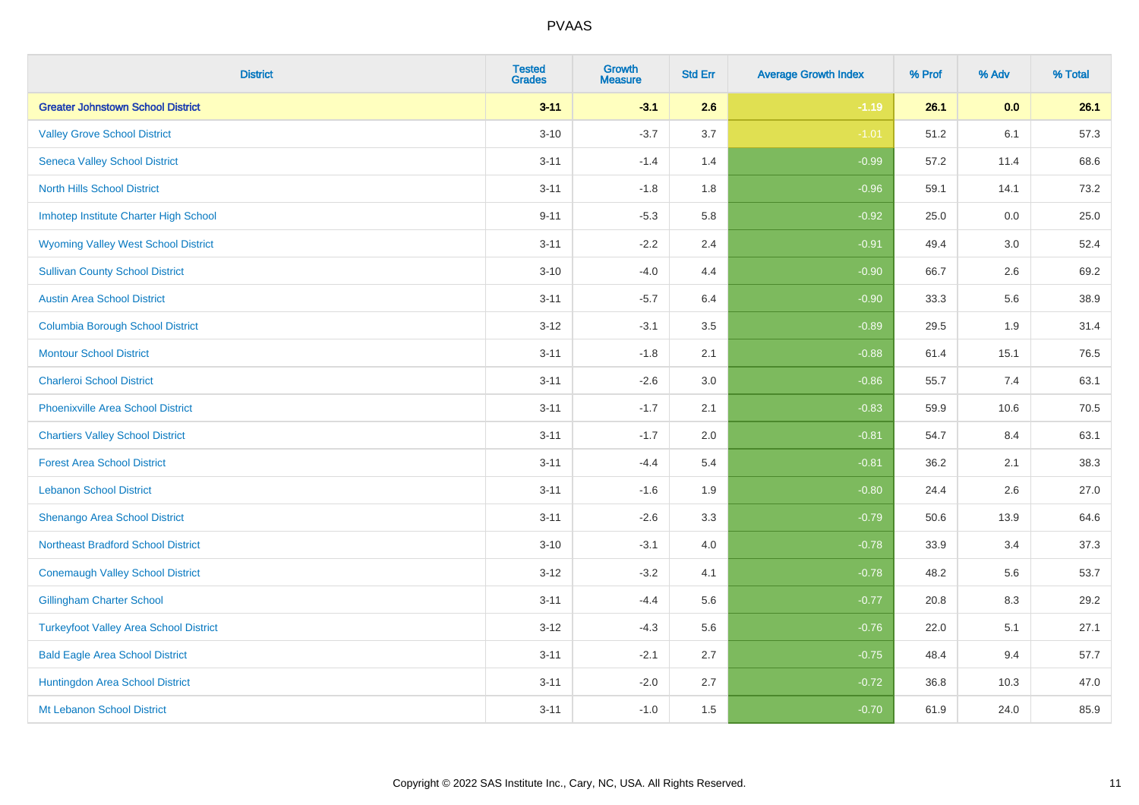| <b>District</b>                               | <b>Tested</b><br><b>Grades</b> | <b>Growth</b><br><b>Measure</b> | <b>Std Err</b> | <b>Average Growth Index</b> | % Prof | % Adv | % Total |
|-----------------------------------------------|--------------------------------|---------------------------------|----------------|-----------------------------|--------|-------|---------|
| <b>Greater Johnstown School District</b>      | $3 - 11$                       | $-3.1$                          | 2.6            | $-1.19$                     | 26.1   | 0.0   | 26.1    |
| <b>Valley Grove School District</b>           | $3 - 10$                       | $-3.7$                          | 3.7            | $-1.01$                     | 51.2   | 6.1   | 57.3    |
| <b>Seneca Valley School District</b>          | $3 - 11$                       | $-1.4$                          | 1.4            | $-0.99$                     | 57.2   | 11.4  | 68.6    |
| <b>North Hills School District</b>            | $3 - 11$                       | $-1.8$                          | 1.8            | $-0.96$                     | 59.1   | 14.1  | 73.2    |
| Imhotep Institute Charter High School         | $9 - 11$                       | $-5.3$                          | 5.8            | $-0.92$                     | 25.0   | 0.0   | 25.0    |
| <b>Wyoming Valley West School District</b>    | $3 - 11$                       | $-2.2$                          | 2.4            | $-0.91$                     | 49.4   | 3.0   | 52.4    |
| <b>Sullivan County School District</b>        | $3 - 10$                       | $-4.0$                          | 4.4            | $-0.90$                     | 66.7   | 2.6   | 69.2    |
| <b>Austin Area School District</b>            | $3 - 11$                       | $-5.7$                          | 6.4            | $-0.90$                     | 33.3   | 5.6   | 38.9    |
| <b>Columbia Borough School District</b>       | $3 - 12$                       | $-3.1$                          | 3.5            | $-0.89$                     | 29.5   | 1.9   | 31.4    |
| <b>Montour School District</b>                | $3 - 11$                       | $-1.8$                          | 2.1            | $-0.88$                     | 61.4   | 15.1  | 76.5    |
| <b>Charleroi School District</b>              | $3 - 11$                       | $-2.6$                          | 3.0            | $-0.86$                     | 55.7   | 7.4   | 63.1    |
| <b>Phoenixville Area School District</b>      | $3 - 11$                       | $-1.7$                          | 2.1            | $-0.83$                     | 59.9   | 10.6  | 70.5    |
| <b>Chartiers Valley School District</b>       | $3 - 11$                       | $-1.7$                          | 2.0            | $-0.81$                     | 54.7   | 8.4   | 63.1    |
| <b>Forest Area School District</b>            | $3 - 11$                       | $-4.4$                          | 5.4            | $-0.81$                     | 36.2   | 2.1   | 38.3    |
| <b>Lebanon School District</b>                | $3 - 11$                       | $-1.6$                          | 1.9            | $-0.80$                     | 24.4   | 2.6   | 27.0    |
| Shenango Area School District                 | $3 - 11$                       | $-2.6$                          | 3.3            | $-0.79$                     | 50.6   | 13.9  | 64.6    |
| <b>Northeast Bradford School District</b>     | $3 - 10$                       | $-3.1$                          | 4.0            | $-0.78$                     | 33.9   | 3.4   | 37.3    |
| <b>Conemaugh Valley School District</b>       | $3 - 12$                       | $-3.2$                          | 4.1            | $-0.78$                     | 48.2   | 5.6   | 53.7    |
| <b>Gillingham Charter School</b>              | $3 - 11$                       | $-4.4$                          | 5.6            | $-0.77$                     | 20.8   | 8.3   | 29.2    |
| <b>Turkeyfoot Valley Area School District</b> | $3 - 12$                       | $-4.3$                          | 5.6            | $-0.76$                     | 22.0   | 5.1   | 27.1    |
| <b>Bald Eagle Area School District</b>        | $3 - 11$                       | $-2.1$                          | 2.7            | $-0.75$                     | 48.4   | 9.4   | 57.7    |
| Huntingdon Area School District               | $3 - 11$                       | $-2.0$                          | 2.7            | $-0.72$                     | 36.8   | 10.3  | 47.0    |
| Mt Lebanon School District                    | $3 - 11$                       | $-1.0$                          | 1.5            | $-0.70$                     | 61.9   | 24.0  | 85.9    |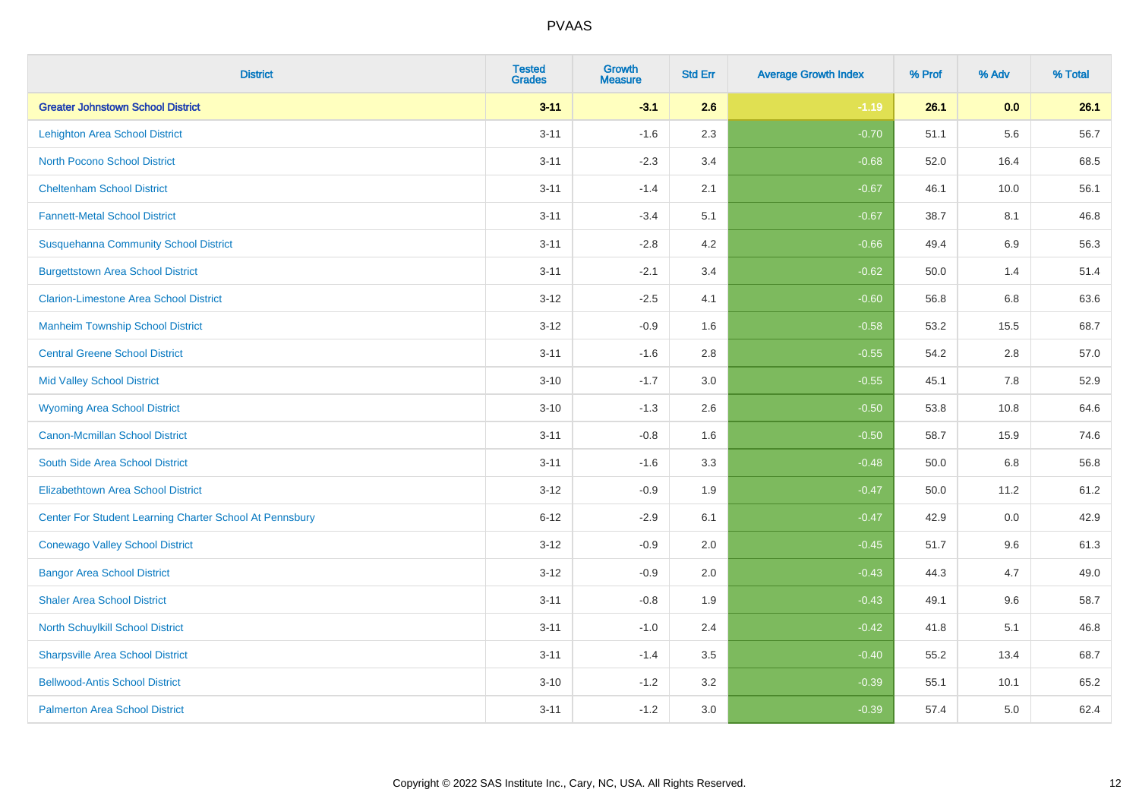| <b>District</b>                                         | <b>Tested</b><br><b>Grades</b> | <b>Growth</b><br><b>Measure</b> | <b>Std Err</b> | <b>Average Growth Index</b> | % Prof | % Adv | % Total |
|---------------------------------------------------------|--------------------------------|---------------------------------|----------------|-----------------------------|--------|-------|---------|
| <b>Greater Johnstown School District</b>                | $3 - 11$                       | $-3.1$                          | 2.6            | $-1.19$                     | 26.1   | 0.0   | 26.1    |
| <b>Lehighton Area School District</b>                   | $3 - 11$                       | $-1.6$                          | 2.3            | $-0.70$                     | 51.1   | 5.6   | 56.7    |
| <b>North Pocono School District</b>                     | $3 - 11$                       | $-2.3$                          | 3.4            | $-0.68$                     | 52.0   | 16.4  | 68.5    |
| <b>Cheltenham School District</b>                       | $3 - 11$                       | $-1.4$                          | 2.1            | $-0.67$                     | 46.1   | 10.0  | 56.1    |
| <b>Fannett-Metal School District</b>                    | $3 - 11$                       | $-3.4$                          | 5.1            | $-0.67$                     | 38.7   | 8.1   | 46.8    |
| <b>Susquehanna Community School District</b>            | $3 - 11$                       | $-2.8$                          | 4.2            | $-0.66$                     | 49.4   | 6.9   | 56.3    |
| <b>Burgettstown Area School District</b>                | $3 - 11$                       | $-2.1$                          | 3.4            | $-0.62$                     | 50.0   | 1.4   | 51.4    |
| <b>Clarion-Limestone Area School District</b>           | $3 - 12$                       | $-2.5$                          | 4.1            | $-0.60$                     | 56.8   | 6.8   | 63.6    |
| <b>Manheim Township School District</b>                 | $3 - 12$                       | $-0.9$                          | 1.6            | $-0.58$                     | 53.2   | 15.5  | 68.7    |
| <b>Central Greene School District</b>                   | $3 - 11$                       | $-1.6$                          | 2.8            | $-0.55$                     | 54.2   | 2.8   | 57.0    |
| <b>Mid Valley School District</b>                       | $3 - 10$                       | $-1.7$                          | 3.0            | $-0.55$                     | 45.1   | 7.8   | 52.9    |
| <b>Wyoming Area School District</b>                     | $3 - 10$                       | $-1.3$                          | 2.6            | $-0.50$                     | 53.8   | 10.8  | 64.6    |
| Canon-Mcmillan School District                          | $3 - 11$                       | $-0.8$                          | 1.6            | $-0.50$                     | 58.7   | 15.9  | 74.6    |
| South Side Area School District                         | $3 - 11$                       | $-1.6$                          | 3.3            | $-0.48$                     | 50.0   | 6.8   | 56.8    |
| <b>Elizabethtown Area School District</b>               | $3 - 12$                       | $-0.9$                          | 1.9            | $-0.47$                     | 50.0   | 11.2  | 61.2    |
| Center For Student Learning Charter School At Pennsbury | $6 - 12$                       | $-2.9$                          | 6.1            | $-0.47$                     | 42.9   | 0.0   | 42.9    |
| <b>Conewago Valley School District</b>                  | $3 - 12$                       | $-0.9$                          | 2.0            | $-0.45$                     | 51.7   | 9.6   | 61.3    |
| <b>Bangor Area School District</b>                      | $3 - 12$                       | $-0.9$                          | 2.0            | $-0.43$                     | 44.3   | 4.7   | 49.0    |
| <b>Shaler Area School District</b>                      | $3 - 11$                       | $-0.8$                          | 1.9            | $-0.43$                     | 49.1   | 9.6   | 58.7    |
| North Schuylkill School District                        | $3 - 11$                       | $-1.0$                          | 2.4            | $-0.42$                     | 41.8   | 5.1   | 46.8    |
| <b>Sharpsville Area School District</b>                 | $3 - 11$                       | $-1.4$                          | 3.5            | $-0.40$                     | 55.2   | 13.4  | 68.7    |
| <b>Bellwood-Antis School District</b>                   | $3 - 10$                       | $-1.2$                          | 3.2            | $-0.39$                     | 55.1   | 10.1  | 65.2    |
| <b>Palmerton Area School District</b>                   | $3 - 11$                       | $-1.2$                          | 3.0            | $-0.39$                     | 57.4   | 5.0   | 62.4    |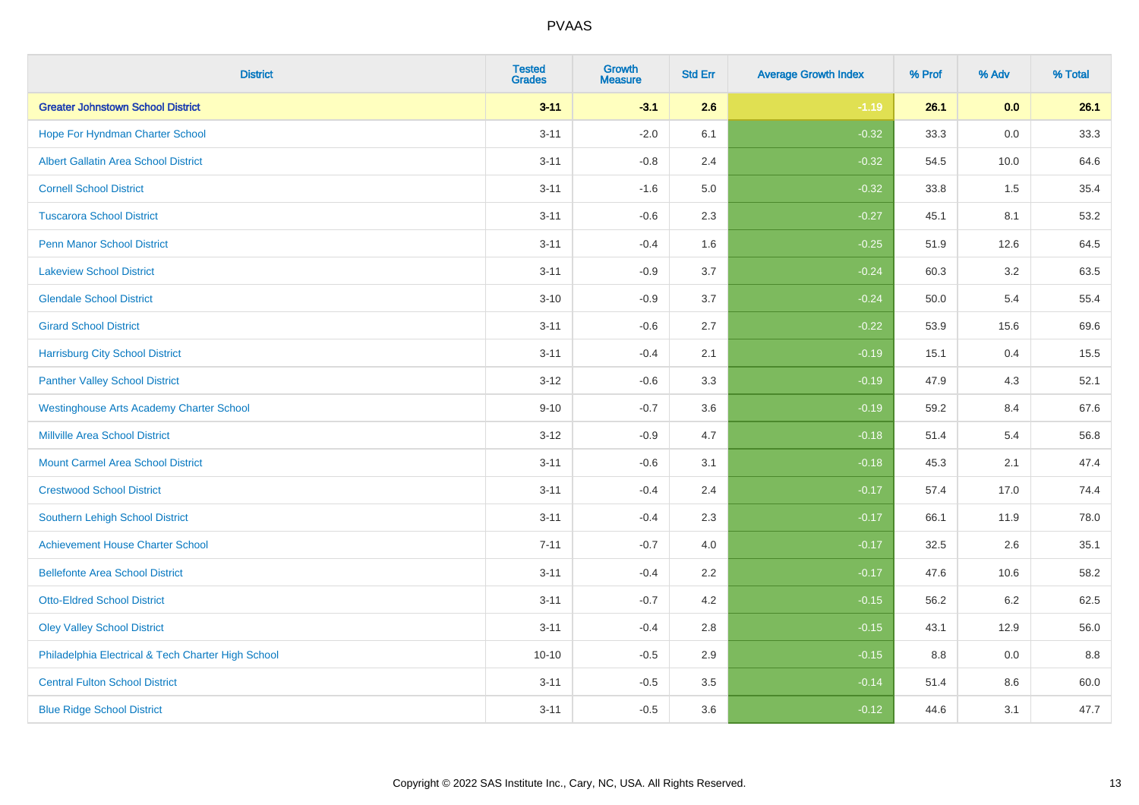| <b>District</b>                                    | <b>Tested</b><br><b>Grades</b> | <b>Growth</b><br><b>Measure</b> | <b>Std Err</b> | <b>Average Growth Index</b> | % Prof | % Adv   | % Total |
|----------------------------------------------------|--------------------------------|---------------------------------|----------------|-----------------------------|--------|---------|---------|
| <b>Greater Johnstown School District</b>           | $3 - 11$                       | $-3.1$                          | 2.6            | $-1.19$                     | 26.1   | 0.0     | 26.1    |
| Hope For Hyndman Charter School                    | $3 - 11$                       | $-2.0$                          | 6.1            | $-0.32$                     | 33.3   | 0.0     | 33.3    |
| <b>Albert Gallatin Area School District</b>        | $3 - 11$                       | $-0.8$                          | 2.4            | $-0.32$                     | 54.5   | 10.0    | 64.6    |
| <b>Cornell School District</b>                     | $3 - 11$                       | $-1.6$                          | 5.0            | $-0.32$                     | 33.8   | 1.5     | 35.4    |
| <b>Tuscarora School District</b>                   | $3 - 11$                       | $-0.6$                          | 2.3            | $-0.27$                     | 45.1   | 8.1     | 53.2    |
| <b>Penn Manor School District</b>                  | $3 - 11$                       | $-0.4$                          | 1.6            | $-0.25$                     | 51.9   | 12.6    | 64.5    |
| <b>Lakeview School District</b>                    | $3 - 11$                       | $-0.9$                          | 3.7            | $-0.24$                     | 60.3   | 3.2     | 63.5    |
| <b>Glendale School District</b>                    | $3 - 10$                       | $-0.9$                          | 3.7            | $-0.24$                     | 50.0   | 5.4     | 55.4    |
| <b>Girard School District</b>                      | $3 - 11$                       | $-0.6$                          | 2.7            | $-0.22$                     | 53.9   | 15.6    | 69.6    |
| <b>Harrisburg City School District</b>             | $3 - 11$                       | $-0.4$                          | 2.1            | $-0.19$                     | 15.1   | 0.4     | 15.5    |
| <b>Panther Valley School District</b>              | $3 - 12$                       | $-0.6$                          | 3.3            | $-0.19$                     | 47.9   | 4.3     | 52.1    |
| <b>Westinghouse Arts Academy Charter School</b>    | $9 - 10$                       | $-0.7$                          | 3.6            | $-0.19$                     | 59.2   | 8.4     | 67.6    |
| <b>Millville Area School District</b>              | $3 - 12$                       | $-0.9$                          | 4.7            | $-0.18$                     | 51.4   | 5.4     | 56.8    |
| <b>Mount Carmel Area School District</b>           | $3 - 11$                       | $-0.6$                          | 3.1            | $-0.18$                     | 45.3   | 2.1     | 47.4    |
| <b>Crestwood School District</b>                   | $3 - 11$                       | $-0.4$                          | 2.4            | $-0.17$                     | 57.4   | 17.0    | 74.4    |
| Southern Lehigh School District                    | $3 - 11$                       | $-0.4$                          | 2.3            | $-0.17$                     | 66.1   | 11.9    | 78.0    |
| <b>Achievement House Charter School</b>            | $7 - 11$                       | $-0.7$                          | 4.0            | $-0.17$                     | 32.5   | $2.6\,$ | 35.1    |
| <b>Bellefonte Area School District</b>             | $3 - 11$                       | $-0.4$                          | 2.2            | $-0.17$                     | 47.6   | 10.6    | 58.2    |
| <b>Otto-Eldred School District</b>                 | $3 - 11$                       | $-0.7$                          | 4.2            | $-0.15$                     | 56.2   | $6.2\,$ | 62.5    |
| <b>Oley Valley School District</b>                 | $3 - 11$                       | $-0.4$                          | 2.8            | $-0.15$                     | 43.1   | 12.9    | 56.0    |
| Philadelphia Electrical & Tech Charter High School | $10 - 10$                      | $-0.5$                          | 2.9            | $-0.15$                     | 8.8    | 0.0     | 8.8     |
| <b>Central Fulton School District</b>              | $3 - 11$                       | $-0.5$                          | 3.5            | $-0.14$                     | 51.4   | 8.6     | 60.0    |
| <b>Blue Ridge School District</b>                  | $3 - 11$                       | $-0.5$                          | 3.6            | $-0.12$                     | 44.6   | 3.1     | 47.7    |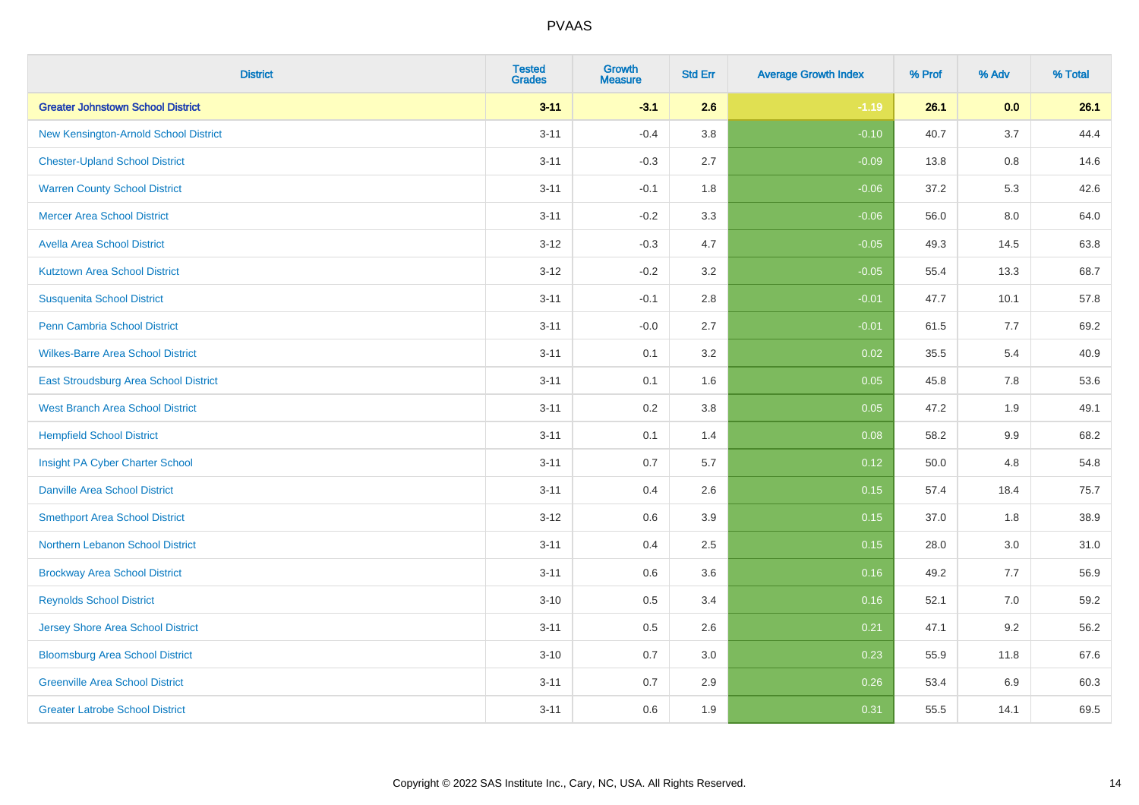| <b>District</b>                          | <b>Tested</b><br><b>Grades</b> | Growth<br><b>Measure</b> | <b>Std Err</b> | <b>Average Growth Index</b> | % Prof | % Adv | % Total |
|------------------------------------------|--------------------------------|--------------------------|----------------|-----------------------------|--------|-------|---------|
| <b>Greater Johnstown School District</b> | $3 - 11$                       | $-3.1$                   | 2.6            | $-1.19$                     | 26.1   | 0.0   | 26.1    |
| New Kensington-Arnold School District    | $3 - 11$                       | $-0.4$                   | 3.8            | $-0.10$                     | 40.7   | 3.7   | 44.4    |
| <b>Chester-Upland School District</b>    | $3 - 11$                       | $-0.3$                   | 2.7            | $-0.09$                     | 13.8   | 0.8   | 14.6    |
| <b>Warren County School District</b>     | $3 - 11$                       | $-0.1$                   | 1.8            | $-0.06$                     | 37.2   | 5.3   | 42.6    |
| <b>Mercer Area School District</b>       | $3 - 11$                       | $-0.2$                   | 3.3            | $-0.06$                     | 56.0   | 8.0   | 64.0    |
| <b>Avella Area School District</b>       | $3 - 12$                       | $-0.3$                   | 4.7            | $-0.05$                     | 49.3   | 14.5  | 63.8    |
| <b>Kutztown Area School District</b>     | $3 - 12$                       | $-0.2$                   | 3.2            | $-0.05$                     | 55.4   | 13.3  | 68.7    |
| <b>Susquenita School District</b>        | $3 - 11$                       | $-0.1$                   | 2.8            | $-0.01$                     | 47.7   | 10.1  | 57.8    |
| <b>Penn Cambria School District</b>      | $3 - 11$                       | $-0.0$                   | 2.7            | $-0.01$                     | 61.5   | 7.7   | 69.2    |
| <b>Wilkes-Barre Area School District</b> | $3 - 11$                       | 0.1                      | 3.2            | 0.02                        | 35.5   | 5.4   | 40.9    |
| East Stroudsburg Area School District    | $3 - 11$                       | 0.1                      | 1.6            | 0.05                        | 45.8   | 7.8   | 53.6    |
| <b>West Branch Area School District</b>  | $3 - 11$                       | 0.2                      | 3.8            | 0.05                        | 47.2   | 1.9   | 49.1    |
| <b>Hempfield School District</b>         | $3 - 11$                       | 0.1                      | 1.4            | 0.08                        | 58.2   | 9.9   | 68.2    |
| Insight PA Cyber Charter School          | $3 - 11$                       | 0.7                      | 5.7            | 0.12                        | 50.0   | 4.8   | 54.8    |
| <b>Danville Area School District</b>     | $3 - 11$                       | 0.4                      | 2.6            | 0.15                        | 57.4   | 18.4  | 75.7    |
| <b>Smethport Area School District</b>    | $3 - 12$                       | 0.6                      | 3.9            | 0.15                        | 37.0   | 1.8   | 38.9    |
| Northern Lebanon School District         | $3 - 11$                       | 0.4                      | 2.5            | 0.15                        | 28.0   | 3.0   | 31.0    |
| <b>Brockway Area School District</b>     | $3 - 11$                       | 0.6                      | 3.6            | 0.16                        | 49.2   | 7.7   | 56.9    |
| <b>Reynolds School District</b>          | $3 - 10$                       | 0.5                      | 3.4            | 0.16                        | 52.1   | 7.0   | 59.2    |
| <b>Jersey Shore Area School District</b> | $3 - 11$                       | 0.5                      | 2.6            | 0.21                        | 47.1   | 9.2   | 56.2    |
| <b>Bloomsburg Area School District</b>   | $3 - 10$                       | 0.7                      | 3.0            | 0.23                        | 55.9   | 11.8  | 67.6    |
| <b>Greenville Area School District</b>   | $3 - 11$                       | 0.7                      | 2.9            | 0.26                        | 53.4   | 6.9   | 60.3    |
| <b>Greater Latrobe School District</b>   | $3 - 11$                       | 0.6                      | 1.9            | 0.31                        | 55.5   | 14.1  | 69.5    |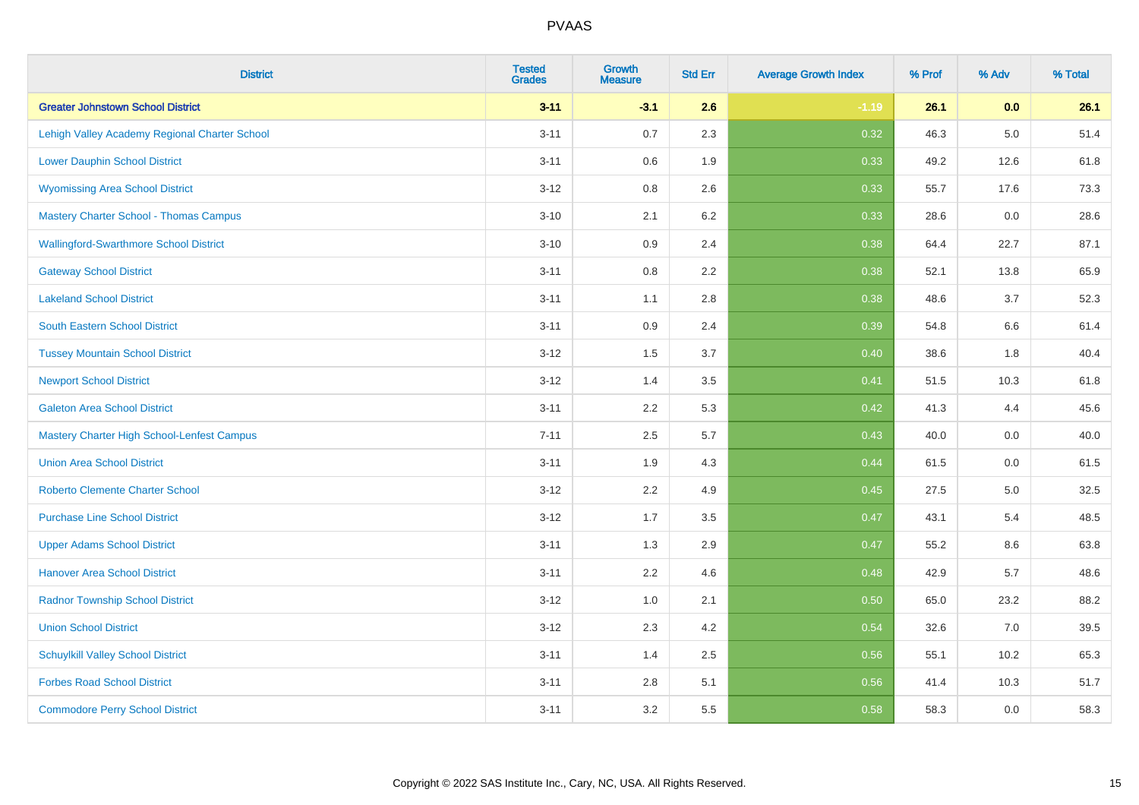| <b>District</b>                                   | <b>Tested</b><br><b>Grades</b> | Growth<br><b>Measure</b> | <b>Std Err</b> | <b>Average Growth Index</b> | % Prof | % Adv   | % Total |
|---------------------------------------------------|--------------------------------|--------------------------|----------------|-----------------------------|--------|---------|---------|
| <b>Greater Johnstown School District</b>          | $3 - 11$                       | $-3.1$                   | 2.6            | $-1.19$                     | 26.1   | 0.0     | 26.1    |
| Lehigh Valley Academy Regional Charter School     | $3 - 11$                       | 0.7                      | 2.3            | 0.32                        | 46.3   | $5.0\,$ | 51.4    |
| <b>Lower Dauphin School District</b>              | $3 - 11$                       | 0.6                      | 1.9            | 0.33                        | 49.2   | 12.6    | 61.8    |
| <b>Wyomissing Area School District</b>            | $3 - 12$                       | 0.8                      | 2.6            | 0.33                        | 55.7   | 17.6    | 73.3    |
| <b>Mastery Charter School - Thomas Campus</b>     | $3 - 10$                       | 2.1                      | 6.2            | 0.33                        | 28.6   | 0.0     | 28.6    |
| <b>Wallingford-Swarthmore School District</b>     | $3 - 10$                       | 0.9                      | 2.4            | 0.38                        | 64.4   | 22.7    | 87.1    |
| <b>Gateway School District</b>                    | $3 - 11$                       | $0.8\,$                  | 2.2            | 0.38                        | 52.1   | 13.8    | 65.9    |
| <b>Lakeland School District</b>                   | $3 - 11$                       | 1.1                      | 2.8            | 0.38                        | 48.6   | 3.7     | 52.3    |
| <b>South Eastern School District</b>              | $3 - 11$                       | 0.9                      | 2.4            | 0.39                        | 54.8   | $6.6\,$ | 61.4    |
| <b>Tussey Mountain School District</b>            | $3 - 12$                       | 1.5                      | 3.7            | 0.40                        | 38.6   | 1.8     | 40.4    |
| <b>Newport School District</b>                    | $3 - 12$                       | 1.4                      | 3.5            | 0.41                        | 51.5   | 10.3    | 61.8    |
| <b>Galeton Area School District</b>               | $3 - 11$                       | 2.2                      | 5.3            | 0.42                        | 41.3   | 4.4     | 45.6    |
| <b>Mastery Charter High School-Lenfest Campus</b> | $7 - 11$                       | 2.5                      | 5.7            | 0.43                        | 40.0   | 0.0     | 40.0    |
| <b>Union Area School District</b>                 | $3 - 11$                       | 1.9                      | 4.3            | 0.44                        | 61.5   | 0.0     | 61.5    |
| <b>Roberto Clemente Charter School</b>            | $3 - 12$                       | 2.2                      | 4.9            | 0.45                        | 27.5   | 5.0     | 32.5    |
| <b>Purchase Line School District</b>              | $3 - 12$                       | 1.7                      | 3.5            | 0.47                        | 43.1   | 5.4     | 48.5    |
| <b>Upper Adams School District</b>                | $3 - 11$                       | 1.3                      | 2.9            | 0.47                        | 55.2   | 8.6     | 63.8    |
| <b>Hanover Area School District</b>               | $3 - 11$                       | 2.2                      | 4.6            | 0.48                        | 42.9   | 5.7     | 48.6    |
| <b>Radnor Township School District</b>            | $3 - 12$                       | 1.0                      | 2.1            | 0.50                        | 65.0   | 23.2    | 88.2    |
| <b>Union School District</b>                      | $3 - 12$                       | 2.3                      | 4.2            | 0.54                        | 32.6   | 7.0     | 39.5    |
| <b>Schuylkill Valley School District</b>          | $3 - 11$                       | 1.4                      | 2.5            | 0.56                        | 55.1   | 10.2    | 65.3    |
| <b>Forbes Road School District</b>                | $3 - 11$                       | 2.8                      | 5.1            | 0.56                        | 41.4   | 10.3    | 51.7    |
| <b>Commodore Perry School District</b>            | $3 - 11$                       | 3.2                      | 5.5            | 0.58                        | 58.3   | 0.0     | 58.3    |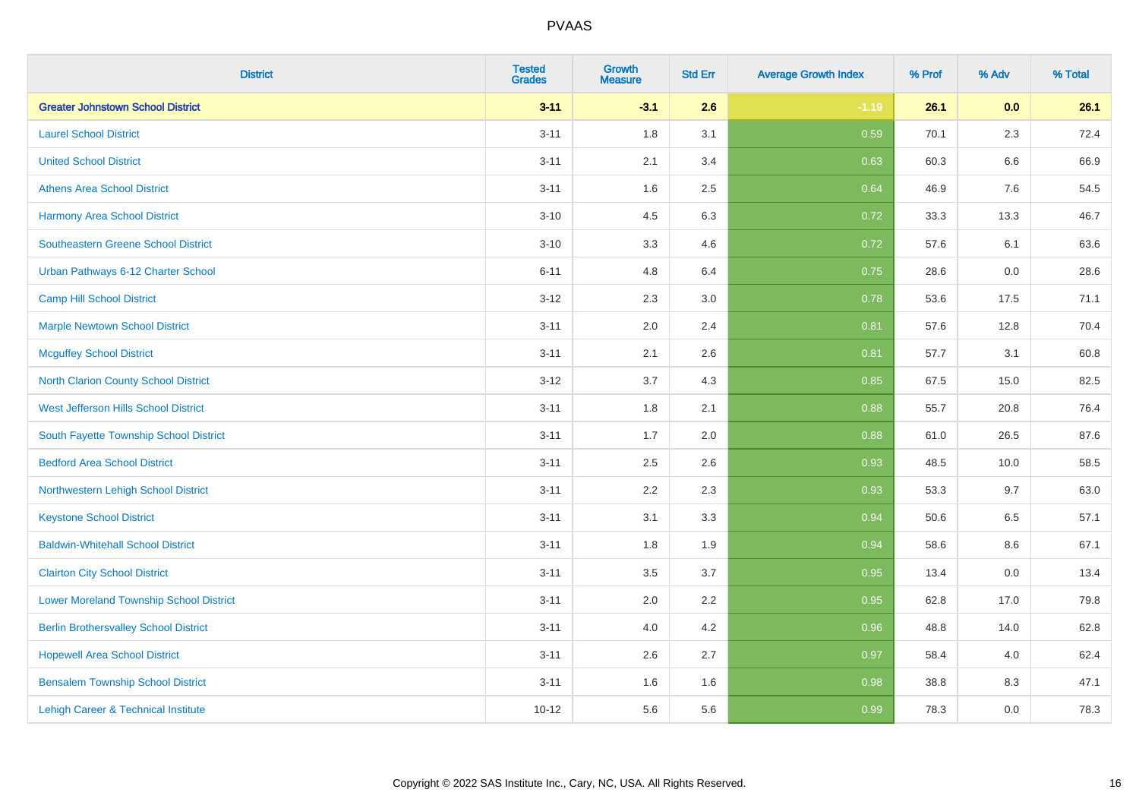| <b>District</b>                                | <b>Tested</b><br><b>Grades</b> | <b>Growth</b><br><b>Measure</b> | <b>Std Err</b> | <b>Average Growth Index</b> | % Prof | % Adv   | % Total |
|------------------------------------------------|--------------------------------|---------------------------------|----------------|-----------------------------|--------|---------|---------|
| <b>Greater Johnstown School District</b>       | $3 - 11$                       | $-3.1$                          | 2.6            | $-1.19$                     | 26.1   | 0.0     | 26.1    |
| <b>Laurel School District</b>                  | $3 - 11$                       | 1.8                             | 3.1            | 0.59                        | 70.1   | $2.3\,$ | 72.4    |
| <b>United School District</b>                  | $3 - 11$                       | 2.1                             | 3.4            | 0.63                        | 60.3   | 6.6     | 66.9    |
| <b>Athens Area School District</b>             | $3 - 11$                       | 1.6                             | 2.5            | 0.64                        | 46.9   | 7.6     | 54.5    |
| <b>Harmony Area School District</b>            | $3 - 10$                       | 4.5                             | 6.3            | 0.72                        | 33.3   | 13.3    | 46.7    |
| <b>Southeastern Greene School District</b>     | $3 - 10$                       | 3.3                             | 4.6            | 0.72                        | 57.6   | 6.1     | 63.6    |
| Urban Pathways 6-12 Charter School             | $6 - 11$                       | 4.8                             | 6.4            | 0.75                        | 28.6   | 0.0     | 28.6    |
| <b>Camp Hill School District</b>               | $3 - 12$                       | 2.3                             | 3.0            | 0.78                        | 53.6   | 17.5    | 71.1    |
| <b>Marple Newtown School District</b>          | $3 - 11$                       | 2.0                             | 2.4            | 0.81                        | 57.6   | 12.8    | 70.4    |
| <b>Mcguffey School District</b>                | $3 - 11$                       | 2.1                             | 2.6            | 0.81                        | 57.7   | 3.1     | 60.8    |
| <b>North Clarion County School District</b>    | $3 - 12$                       | 3.7                             | 4.3            | 0.85                        | 67.5   | 15.0    | 82.5    |
| <b>West Jefferson Hills School District</b>    | $3 - 11$                       | 1.8                             | 2.1            | 0.88                        | 55.7   | 20.8    | 76.4    |
| South Fayette Township School District         | $3 - 11$                       | 1.7                             | 2.0            | 0.88                        | 61.0   | 26.5    | 87.6    |
| <b>Bedford Area School District</b>            | $3 - 11$                       | 2.5                             | 2.6            | 0.93                        | 48.5   | 10.0    | 58.5    |
| Northwestern Lehigh School District            | $3 - 11$                       | 2.2                             | 2.3            | 0.93                        | 53.3   | 9.7     | 63.0    |
| <b>Keystone School District</b>                | $3 - 11$                       | 3.1                             | 3.3            | 0.94                        | 50.6   | 6.5     | 57.1    |
| <b>Baldwin-Whitehall School District</b>       | $3 - 11$                       | 1.8                             | 1.9            | 0.94                        | 58.6   | 8.6     | 67.1    |
| <b>Clairton City School District</b>           | $3 - 11$                       | 3.5                             | 3.7            | 0.95                        | 13.4   | 0.0     | 13.4    |
| <b>Lower Moreland Township School District</b> | $3 - 11$                       | 2.0                             | 2.2            | 0.95                        | 62.8   | 17.0    | 79.8    |
| <b>Berlin Brothersvalley School District</b>   | $3 - 11$                       | 4.0                             | 4.2            | 0.96                        | 48.8   | 14.0    | 62.8    |
| <b>Hopewell Area School District</b>           | $3 - 11$                       | 2.6                             | 2.7            | 0.97                        | 58.4   | 4.0     | 62.4    |
| <b>Bensalem Township School District</b>       | $3 - 11$                       | 1.6                             | 1.6            | 0.98                        | 38.8   | 8.3     | 47.1    |
| Lehigh Career & Technical Institute            | $10 - 12$                      | 5.6                             | 5.6            | 0.99                        | 78.3   | 0.0     | 78.3    |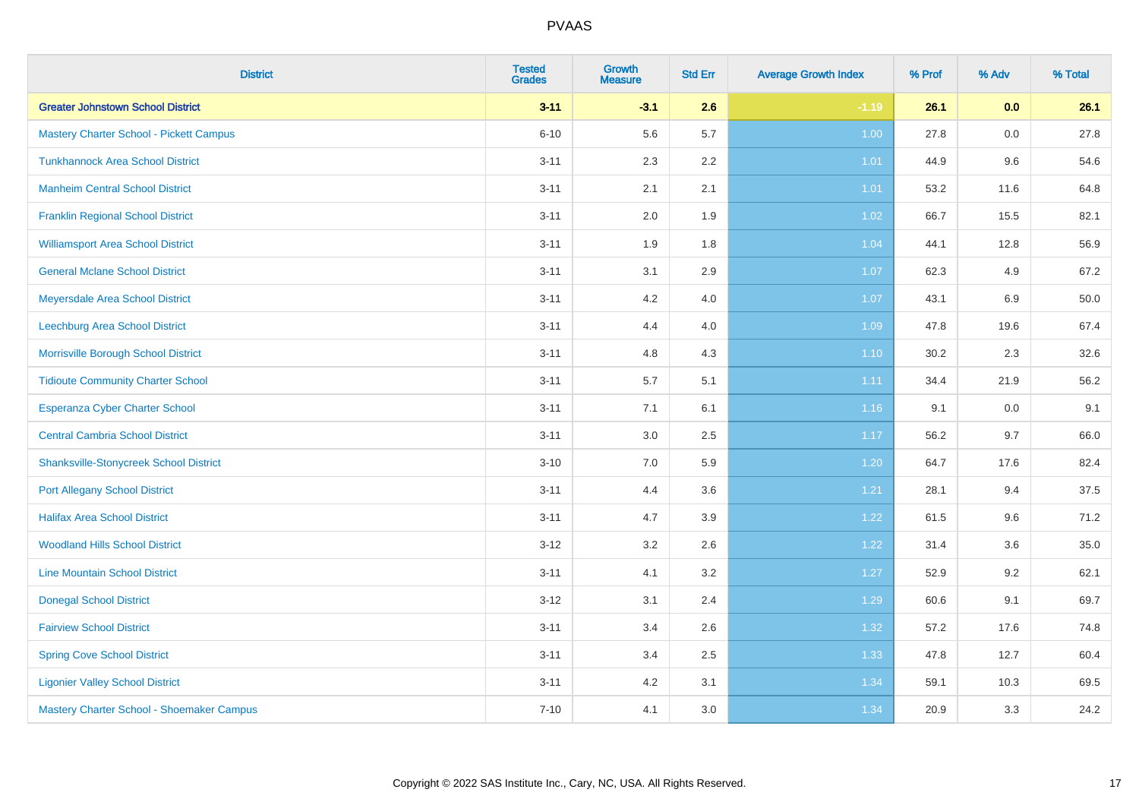| <b>District</b>                               | <b>Tested</b><br><b>Grades</b> | <b>Growth</b><br><b>Measure</b> | <b>Std Err</b> | <b>Average Growth Index</b> | % Prof | % Adv | % Total |
|-----------------------------------------------|--------------------------------|---------------------------------|----------------|-----------------------------|--------|-------|---------|
| <b>Greater Johnstown School District</b>      | $3 - 11$                       | $-3.1$                          | 2.6            | $-1.19$                     | 26.1   | 0.0   | 26.1    |
| Mastery Charter School - Pickett Campus       | $6 - 10$                       | 5.6                             | 5.7            | 1.00                        | 27.8   | 0.0   | 27.8    |
| <b>Tunkhannock Area School District</b>       | $3 - 11$                       | 2.3                             | 2.2            | 1.01                        | 44.9   | 9.6   | 54.6    |
| <b>Manheim Central School District</b>        | $3 - 11$                       | 2.1                             | 2.1            | 1.01                        | 53.2   | 11.6  | 64.8    |
| <b>Franklin Regional School District</b>      | $3 - 11$                       | 2.0                             | 1.9            | 1.02                        | 66.7   | 15.5  | 82.1    |
| <b>Williamsport Area School District</b>      | $3 - 11$                       | 1.9                             | 1.8            | 1.04                        | 44.1   | 12.8  | 56.9    |
| <b>General Mclane School District</b>         | $3 - 11$                       | 3.1                             | 2.9            | 1.07                        | 62.3   | 4.9   | 67.2    |
| Meyersdale Area School District               | $3 - 11$                       | 4.2                             | 4.0            | 1.07                        | 43.1   | 6.9   | 50.0    |
| Leechburg Area School District                | $3 - 11$                       | 4.4                             | 4.0            | 1.09                        | 47.8   | 19.6  | 67.4    |
| Morrisville Borough School District           | $3 - 11$                       | 4.8                             | 4.3            | $1.10$                      | 30.2   | 2.3   | 32.6    |
| <b>Tidioute Community Charter School</b>      | $3 - 11$                       | 5.7                             | 5.1            | 1.11                        | 34.4   | 21.9  | 56.2    |
| Esperanza Cyber Charter School                | $3 - 11$                       | 7.1                             | 6.1            | 1.16                        | 9.1    | 0.0   | 9.1     |
| <b>Central Cambria School District</b>        | $3 - 11$                       | 3.0                             | 2.5            | 1.17                        | 56.2   | 9.7   | 66.0    |
| <b>Shanksville-Stonycreek School District</b> | $3 - 10$                       | 7.0                             | 5.9            | 1.20                        | 64.7   | 17.6  | 82.4    |
| <b>Port Allegany School District</b>          | $3 - 11$                       | 4.4                             | 3.6            | 1.21                        | 28.1   | 9.4   | 37.5    |
| <b>Halifax Area School District</b>           | $3 - 11$                       | 4.7                             | 3.9            | 1.22                        | 61.5   | 9.6   | 71.2    |
| <b>Woodland Hills School District</b>         | $3-12$                         | 3.2                             | 2.6            | 1.22                        | 31.4   | 3.6   | 35.0    |
| <b>Line Mountain School District</b>          | $3 - 11$                       | 4.1                             | 3.2            | 1.27                        | 52.9   | 9.2   | 62.1    |
| <b>Donegal School District</b>                | $3 - 12$                       | 3.1                             | 2.4            | 1.29                        | 60.6   | 9.1   | 69.7    |
| <b>Fairview School District</b>               | $3 - 11$                       | 3.4                             | 2.6            | 1.32                        | 57.2   | 17.6  | 74.8    |
| <b>Spring Cove School District</b>            | $3 - 11$                       | 3.4                             | 2.5            | 1.33                        | 47.8   | 12.7  | 60.4    |
| <b>Ligonier Valley School District</b>        | $3 - 11$                       | 4.2                             | 3.1            | 1.34                        | 59.1   | 10.3  | 69.5    |
| Mastery Charter School - Shoemaker Campus     | $7 - 10$                       | 4.1                             | 3.0            | 1.34                        | 20.9   | 3.3   | 24.2    |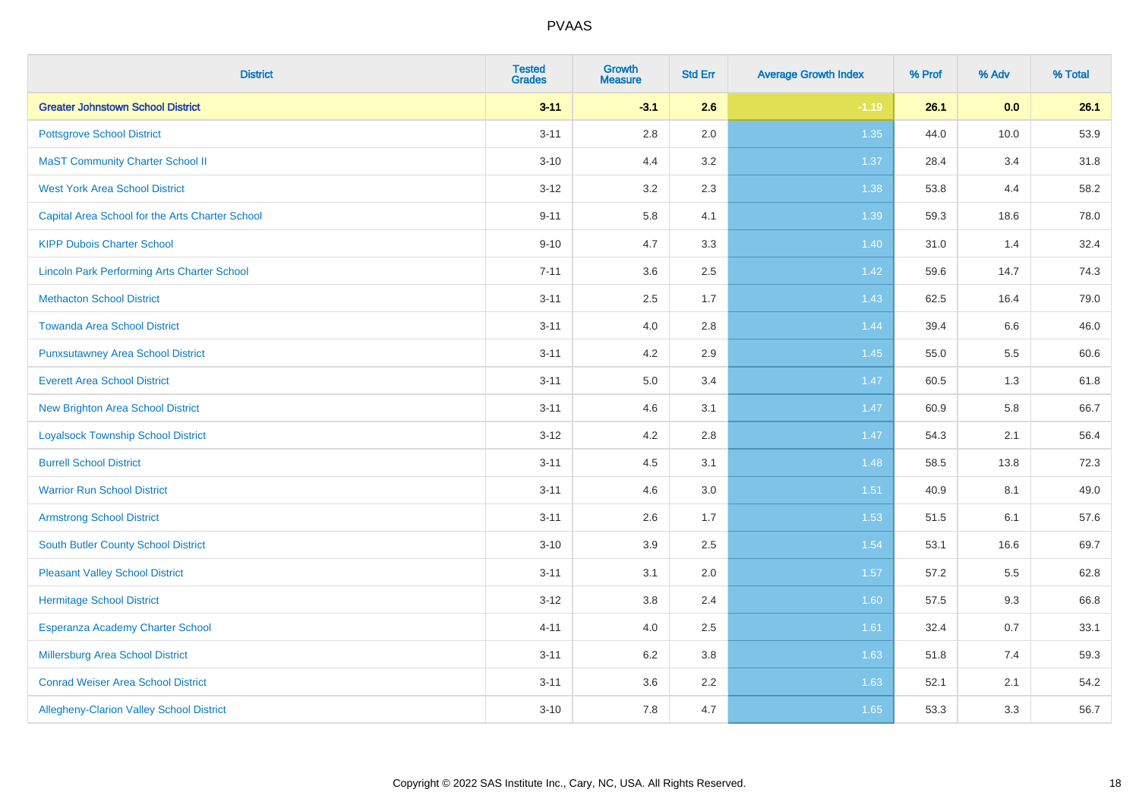| <b>District</b>                                    | <b>Tested</b><br><b>Grades</b> | <b>Growth</b><br><b>Measure</b> | <b>Std Err</b> | <b>Average Growth Index</b> | % Prof | % Adv | % Total |
|----------------------------------------------------|--------------------------------|---------------------------------|----------------|-----------------------------|--------|-------|---------|
| <b>Greater Johnstown School District</b>           | $3 - 11$                       | $-3.1$                          | 2.6            | $-1.19$                     | 26.1   | 0.0   | 26.1    |
| <b>Pottsgrove School District</b>                  | $3 - 11$                       | $2.8\,$                         | 2.0            | 1.35                        | 44.0   | 10.0  | 53.9    |
| <b>MaST Community Charter School II</b>            | $3 - 10$                       | 4.4                             | 3.2            | 1.37                        | 28.4   | 3.4   | 31.8    |
| <b>West York Area School District</b>              | $3 - 12$                       | 3.2                             | 2.3            | 1.38                        | 53.8   | 4.4   | 58.2    |
| Capital Area School for the Arts Charter School    | $9 - 11$                       | 5.8                             | 4.1            | 1.39                        | 59.3   | 18.6  | 78.0    |
| <b>KIPP Dubois Charter School</b>                  | $9 - 10$                       | 4.7                             | 3.3            | 1.40                        | 31.0   | 1.4   | 32.4    |
| <b>Lincoln Park Performing Arts Charter School</b> | $7 - 11$                       | 3.6                             | 2.5            | 1.42                        | 59.6   | 14.7  | 74.3    |
| <b>Methacton School District</b>                   | $3 - 11$                       | 2.5                             | 1.7            | 1.43                        | 62.5   | 16.4  | 79.0    |
| <b>Towanda Area School District</b>                | $3 - 11$                       | 4.0                             | 2.8            | 1.44                        | 39.4   | 6.6   | 46.0    |
| <b>Punxsutawney Area School District</b>           | $3 - 11$                       | 4.2                             | 2.9            | $1.45$                      | 55.0   | 5.5   | 60.6    |
| <b>Everett Area School District</b>                | $3 - 11$                       | 5.0                             | 3.4            | 1.47                        | 60.5   | 1.3   | 61.8    |
| <b>New Brighton Area School District</b>           | $3 - 11$                       | 4.6                             | 3.1            | 1.47                        | 60.9   | 5.8   | 66.7    |
| <b>Loyalsock Township School District</b>          | $3 - 12$                       | 4.2                             | 2.8            | 1.47                        | 54.3   | 2.1   | 56.4    |
| <b>Burrell School District</b>                     | $3 - 11$                       | 4.5                             | 3.1            | 1.48                        | 58.5   | 13.8  | 72.3    |
| <b>Warrior Run School District</b>                 | $3 - 11$                       | 4.6                             | 3.0            | 1.51                        | 40.9   | 8.1   | 49.0    |
| <b>Armstrong School District</b>                   | $3 - 11$                       | 2.6                             | 1.7            | 1.53                        | 51.5   | 6.1   | 57.6    |
| <b>South Butler County School District</b>         | $3 - 10$                       | 3.9                             | 2.5            | 1.54                        | 53.1   | 16.6  | 69.7    |
| <b>Pleasant Valley School District</b>             | $3 - 11$                       | 3.1                             | 2.0            | 1.57                        | 57.2   | 5.5   | 62.8    |
| <b>Hermitage School District</b>                   | $3 - 12$                       | $3.8\,$                         | 2.4            | 1.60                        | 57.5   | 9.3   | 66.8    |
| Esperanza Academy Charter School                   | $4 - 11$                       | 4.0                             | 2.5            | 1.61                        | 32.4   | 0.7   | 33.1    |
| Millersburg Area School District                   | $3 - 11$                       | 6.2                             | 3.8            | 1.63                        | 51.8   | 7.4   | 59.3    |
| <b>Conrad Weiser Area School District</b>          | $3 - 11$                       | 3.6                             | 2.2            | 1.63                        | 52.1   | 2.1   | 54.2    |
| Allegheny-Clarion Valley School District           | $3 - 10$                       | 7.8                             | 4.7            | 1.65                        | 53.3   | 3.3   | 56.7    |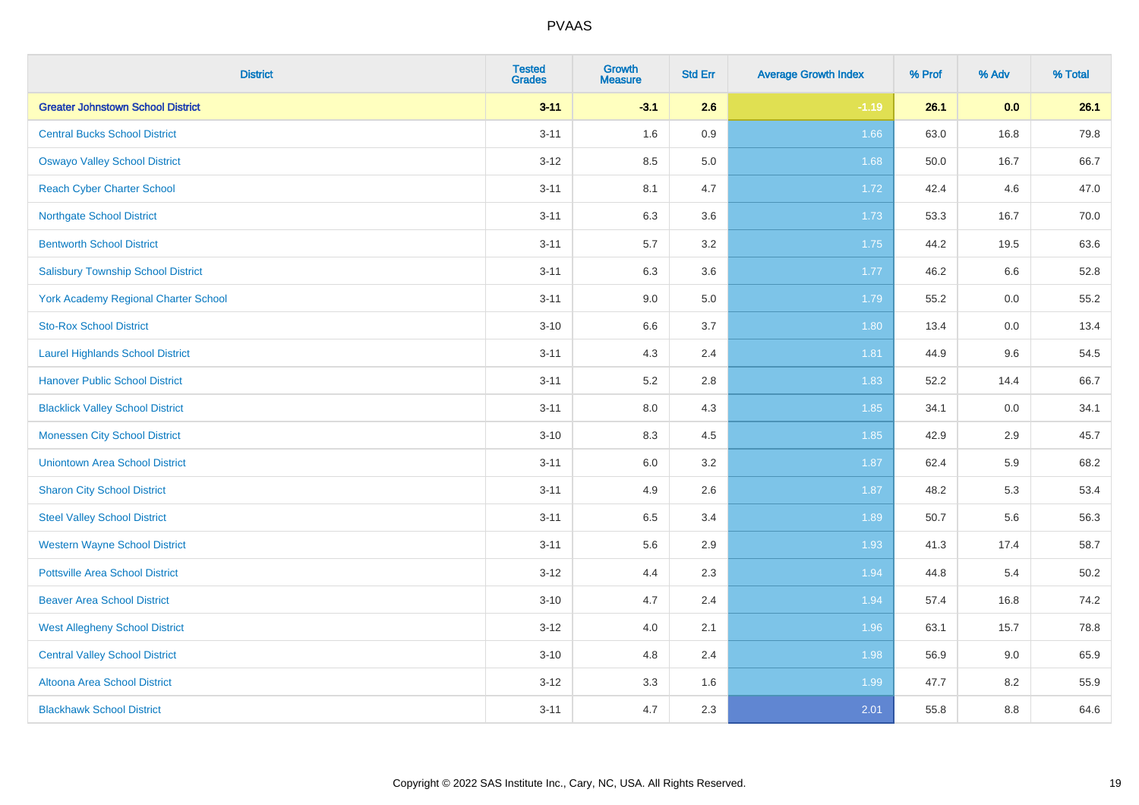| <b>District</b>                             | <b>Tested</b><br><b>Grades</b> | <b>Growth</b><br><b>Measure</b> | <b>Std Err</b> | <b>Average Growth Index</b> | % Prof | % Adv | % Total |
|---------------------------------------------|--------------------------------|---------------------------------|----------------|-----------------------------|--------|-------|---------|
| <b>Greater Johnstown School District</b>    | $3 - 11$                       | $-3.1$                          | 2.6            | $-1.19$                     | 26.1   | 0.0   | 26.1    |
| <b>Central Bucks School District</b>        | $3 - 11$                       | 1.6                             | 0.9            | 1.66                        | 63.0   | 16.8  | 79.8    |
| <b>Oswayo Valley School District</b>        | $3 - 12$                       | 8.5                             | 5.0            | 1.68                        | 50.0   | 16.7  | 66.7    |
| <b>Reach Cyber Charter School</b>           | $3 - 11$                       | 8.1                             | 4.7            | 1.72                        | 42.4   | 4.6   | 47.0    |
| <b>Northgate School District</b>            | $3 - 11$                       | 6.3                             | 3.6            | 1.73                        | 53.3   | 16.7  | 70.0    |
| <b>Bentworth School District</b>            | $3 - 11$                       | 5.7                             | 3.2            | 1.75                        | 44.2   | 19.5  | 63.6    |
| <b>Salisbury Township School District</b>   | $3 - 11$                       | 6.3                             | 3.6            | 1.77                        | 46.2   | 6.6   | 52.8    |
| <b>York Academy Regional Charter School</b> | $3 - 11$                       | 9.0                             | 5.0            | 1.79                        | 55.2   | 0.0   | 55.2    |
| <b>Sto-Rox School District</b>              | $3 - 10$                       | 6.6                             | 3.7            | 1.80                        | 13.4   | 0.0   | 13.4    |
| <b>Laurel Highlands School District</b>     | $3 - 11$                       | 4.3                             | 2.4            | 1.81                        | 44.9   | 9.6   | 54.5    |
| <b>Hanover Public School District</b>       | $3 - 11$                       | 5.2                             | 2.8            | 1.83                        | 52.2   | 14.4  | 66.7    |
| <b>Blacklick Valley School District</b>     | $3 - 11$                       | 8.0                             | 4.3            | 1.85                        | 34.1   | 0.0   | 34.1    |
| <b>Monessen City School District</b>        | $3 - 10$                       | 8.3                             | 4.5            | 1.85                        | 42.9   | 2.9   | 45.7    |
| <b>Uniontown Area School District</b>       | $3 - 11$                       | 6.0                             | 3.2            | 1.87                        | 62.4   | 5.9   | 68.2    |
| <b>Sharon City School District</b>          | $3 - 11$                       | 4.9                             | 2.6            | 1.87                        | 48.2   | 5.3   | 53.4    |
| <b>Steel Valley School District</b>         | $3 - 11$                       | 6.5                             | 3.4            | 1.89                        | 50.7   | 5.6   | 56.3    |
| <b>Western Wayne School District</b>        | $3 - 11$                       | 5.6                             | 2.9            | 1.93                        | 41.3   | 17.4  | 58.7    |
| <b>Pottsville Area School District</b>      | $3 - 12$                       | 4.4                             | 2.3            | 1.94                        | 44.8   | 5.4   | 50.2    |
| <b>Beaver Area School District</b>          | $3 - 10$                       | 4.7                             | 2.4            | 1.94                        | 57.4   | 16.8  | 74.2    |
| <b>West Allegheny School District</b>       | $3 - 12$                       | 4.0                             | 2.1            | 1.96                        | 63.1   | 15.7  | 78.8    |
| <b>Central Valley School District</b>       | $3 - 10$                       | 4.8                             | 2.4            | 1.98                        | 56.9   | 9.0   | 65.9    |
| Altoona Area School District                | $3 - 12$                       | 3.3                             | 1.6            | 1.99                        | 47.7   | 8.2   | 55.9    |
| <b>Blackhawk School District</b>            | $3 - 11$                       | 4.7                             | 2.3            | 2.01                        | 55.8   | 8.8   | 64.6    |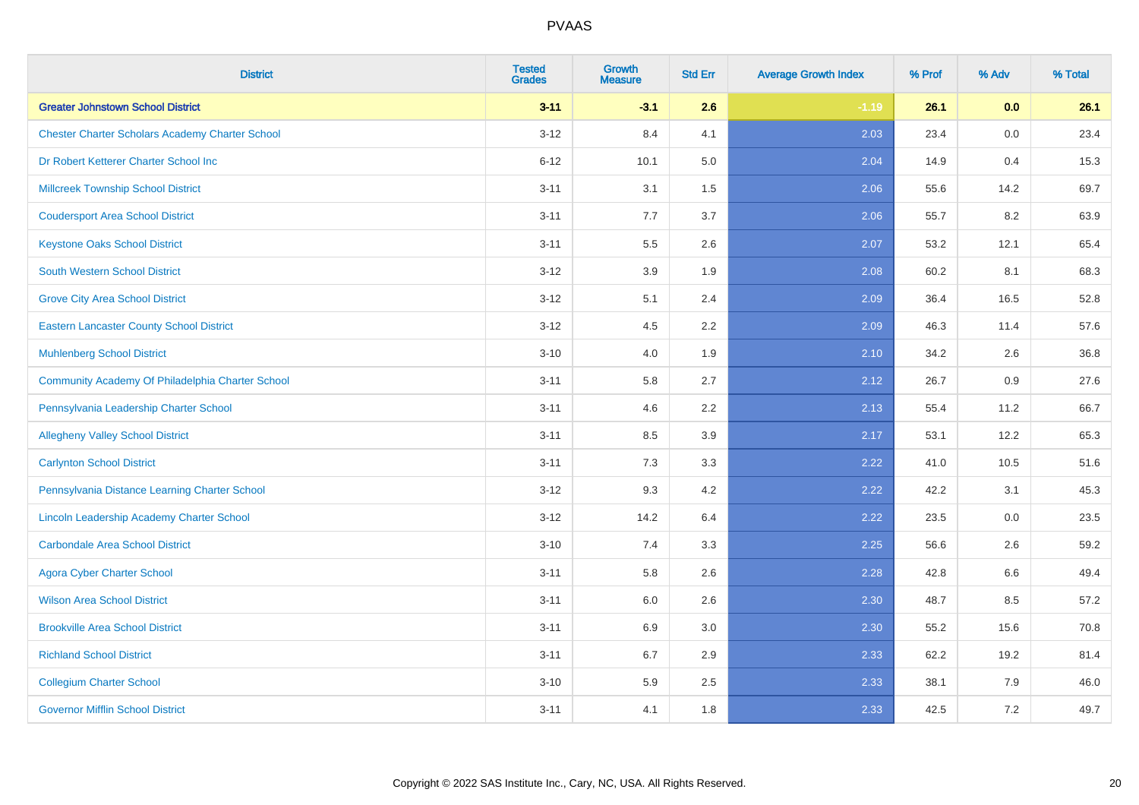| <b>District</b>                                        | <b>Tested</b><br><b>Grades</b> | <b>Growth</b><br><b>Measure</b> | <b>Std Err</b> | <b>Average Growth Index</b> | % Prof | % Adv | % Total |
|--------------------------------------------------------|--------------------------------|---------------------------------|----------------|-----------------------------|--------|-------|---------|
| <b>Greater Johnstown School District</b>               | $3 - 11$                       | $-3.1$                          | 2.6            | $-1.19$                     | 26.1   | 0.0   | 26.1    |
| <b>Chester Charter Scholars Academy Charter School</b> | $3 - 12$                       | 8.4                             | 4.1            | 2.03                        | 23.4   | 0.0   | 23.4    |
| Dr Robert Ketterer Charter School Inc                  | $6 - 12$                       | 10.1                            | 5.0            | 2.04                        | 14.9   | 0.4   | 15.3    |
| <b>Millcreek Township School District</b>              | $3 - 11$                       | 3.1                             | 1.5            | 2.06                        | 55.6   | 14.2  | 69.7    |
| <b>Coudersport Area School District</b>                | $3 - 11$                       | 7.7                             | 3.7            | 2.06                        | 55.7   | 8.2   | 63.9    |
| <b>Keystone Oaks School District</b>                   | $3 - 11$                       | 5.5                             | 2.6            | 2.07                        | 53.2   | 12.1  | 65.4    |
| <b>South Western School District</b>                   | $3 - 12$                       | 3.9                             | 1.9            | 2.08                        | 60.2   | 8.1   | 68.3    |
| <b>Grove City Area School District</b>                 | $3 - 12$                       | 5.1                             | 2.4            | 2.09                        | 36.4   | 16.5  | 52.8    |
| <b>Eastern Lancaster County School District</b>        | $3 - 12$                       | 4.5                             | 2.2            | 2.09                        | 46.3   | 11.4  | 57.6    |
| <b>Muhlenberg School District</b>                      | $3 - 10$                       | 4.0                             | 1.9            | 2.10                        | 34.2   | 2.6   | 36.8    |
| Community Academy Of Philadelphia Charter School       | $3 - 11$                       | 5.8                             | 2.7            | 2.12                        | 26.7   | 0.9   | 27.6    |
| Pennsylvania Leadership Charter School                 | $3 - 11$                       | 4.6                             | 2.2            | 2.13                        | 55.4   | 11.2  | 66.7    |
| <b>Allegheny Valley School District</b>                | $3 - 11$                       | 8.5                             | 3.9            | 2.17                        | 53.1   | 12.2  | 65.3    |
| <b>Carlynton School District</b>                       | $3 - 11$                       | 7.3                             | 3.3            | 2.22                        | 41.0   | 10.5  | 51.6    |
| Pennsylvania Distance Learning Charter School          | $3 - 12$                       | 9.3                             | 4.2            | 2.22                        | 42.2   | 3.1   | 45.3    |
| Lincoln Leadership Academy Charter School              | $3 - 12$                       | 14.2                            | 6.4            | 2.22                        | 23.5   | 0.0   | 23.5    |
| <b>Carbondale Area School District</b>                 | $3 - 10$                       | 7.4                             | 3.3            | 2.25                        | 56.6   | 2.6   | 59.2    |
| <b>Agora Cyber Charter School</b>                      | $3 - 11$                       | 5.8                             | 2.6            | 2.28                        | 42.8   | 6.6   | 49.4    |
| <b>Wilson Area School District</b>                     | $3 - 11$                       | 6.0                             | 2.6            | 2.30                        | 48.7   | 8.5   | 57.2    |
| <b>Brookville Area School District</b>                 | $3 - 11$                       | 6.9                             | 3.0            | 2.30                        | 55.2   | 15.6  | 70.8    |
| <b>Richland School District</b>                        | $3 - 11$                       | 6.7                             | 2.9            | 2.33                        | 62.2   | 19.2  | 81.4    |
| <b>Collegium Charter School</b>                        | $3 - 10$                       | 5.9                             | 2.5            | 2.33                        | 38.1   | 7.9   | 46.0    |
| <b>Governor Mifflin School District</b>                | $3 - 11$                       | 4.1                             | 1.8            | 2.33                        | 42.5   | 7.2   | 49.7    |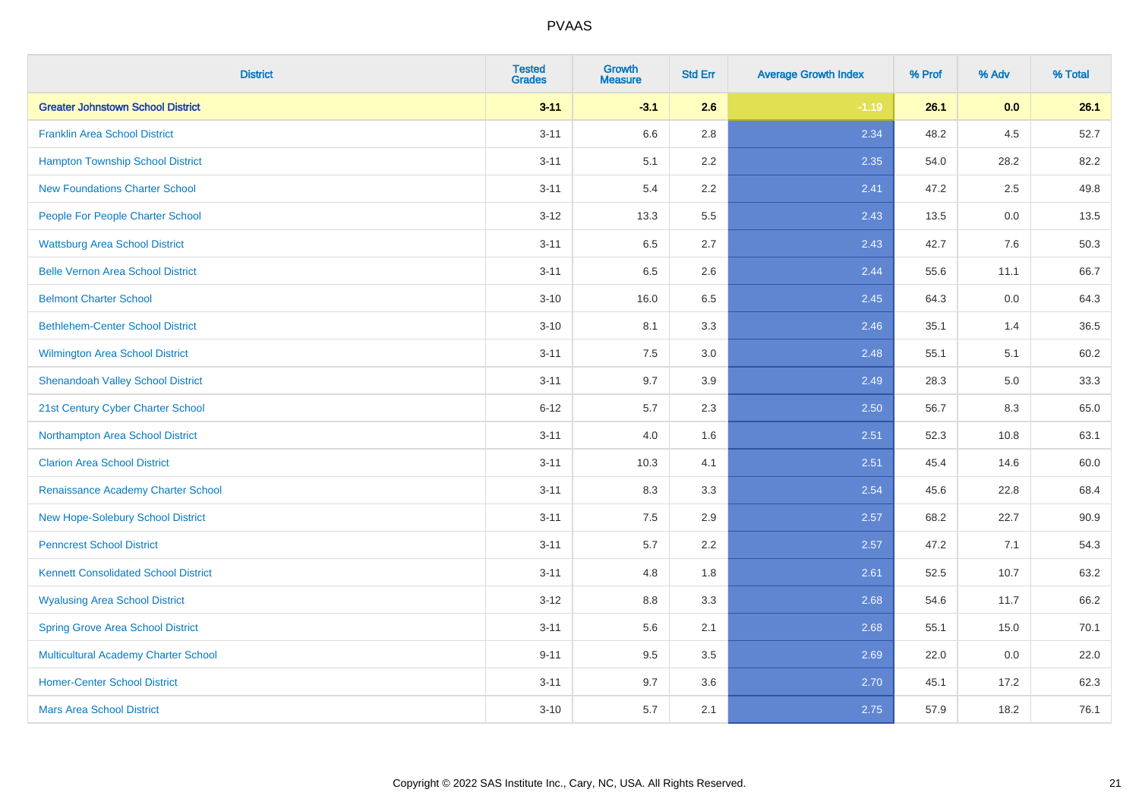| <b>District</b>                             | <b>Tested</b><br><b>Grades</b> | <b>Growth</b><br><b>Measure</b> | <b>Std Err</b> | <b>Average Growth Index</b> | % Prof | % Adv | % Total |
|---------------------------------------------|--------------------------------|---------------------------------|----------------|-----------------------------|--------|-------|---------|
| <b>Greater Johnstown School District</b>    | $3 - 11$                       | $-3.1$                          | 2.6            | $-1.19$                     | 26.1   | 0.0   | 26.1    |
| <b>Franklin Area School District</b>        | $3 - 11$                       | 6.6                             | 2.8            | 2.34                        | 48.2   | 4.5   | 52.7    |
| <b>Hampton Township School District</b>     | $3 - 11$                       | 5.1                             | 2.2            | 2.35                        | 54.0   | 28.2  | 82.2    |
| <b>New Foundations Charter School</b>       | $3 - 11$                       | 5.4                             | 2.2            | 2.41                        | 47.2   | 2.5   | 49.8    |
| People For People Charter School            | $3 - 12$                       | 13.3                            | 5.5            | 2.43                        | 13.5   | 0.0   | 13.5    |
| <b>Wattsburg Area School District</b>       | $3 - 11$                       | 6.5                             | 2.7            | 2.43                        | 42.7   | 7.6   | 50.3    |
| <b>Belle Vernon Area School District</b>    | $3 - 11$                       | 6.5                             | 2.6            | 2.44                        | 55.6   | 11.1  | 66.7    |
| <b>Belmont Charter School</b>               | $3 - 10$                       | 16.0                            | 6.5            | 2.45                        | 64.3   | 0.0   | 64.3    |
| <b>Bethlehem-Center School District</b>     | $3 - 10$                       | 8.1                             | 3.3            | 2.46                        | 35.1   | 1.4   | 36.5    |
| <b>Wilmington Area School District</b>      | $3 - 11$                       | 7.5                             | 3.0            | 2.48                        | 55.1   | 5.1   | 60.2    |
| <b>Shenandoah Valley School District</b>    | $3 - 11$                       | 9.7                             | 3.9            | 2.49                        | 28.3   | 5.0   | 33.3    |
| 21st Century Cyber Charter School           | $6 - 12$                       | 5.7                             | 2.3            | 2.50                        | 56.7   | 8.3   | 65.0    |
| Northampton Area School District            | $3 - 11$                       | 4.0                             | 1.6            | 2.51                        | 52.3   | 10.8  | 63.1    |
| <b>Clarion Area School District</b>         | $3 - 11$                       | 10.3                            | 4.1            | 2.51                        | 45.4   | 14.6  | 60.0    |
| Renaissance Academy Charter School          | $3 - 11$                       | 8.3                             | 3.3            | 2.54                        | 45.6   | 22.8  | 68.4    |
| New Hope-Solebury School District           | $3 - 11$                       | $7.5\,$                         | 2.9            | 2.57                        | 68.2   | 22.7  | 90.9    |
| <b>Penncrest School District</b>            | $3 - 11$                       | 5.7                             | 2.2            | 2.57                        | 47.2   | 7.1   | 54.3    |
| <b>Kennett Consolidated School District</b> | $3 - 11$                       | 4.8                             | 1.8            | 2.61                        | 52.5   | 10.7  | 63.2    |
| <b>Wyalusing Area School District</b>       | $3 - 12$                       | $8.8\,$                         | 3.3            | 2.68                        | 54.6   | 11.7  | 66.2    |
| <b>Spring Grove Area School District</b>    | $3 - 11$                       | 5.6                             | 2.1            | 2.68                        | 55.1   | 15.0  | 70.1    |
| <b>Multicultural Academy Charter School</b> | $9 - 11$                       | 9.5                             | 3.5            | 2.69                        | 22.0   | 0.0   | 22.0    |
| <b>Homer-Center School District</b>         | $3 - 11$                       | 9.7                             | 3.6            | 2.70                        | 45.1   | 17.2  | 62.3    |
| <b>Mars Area School District</b>            | $3 - 10$                       | 5.7                             | 2.1            | 2.75                        | 57.9   | 18.2  | 76.1    |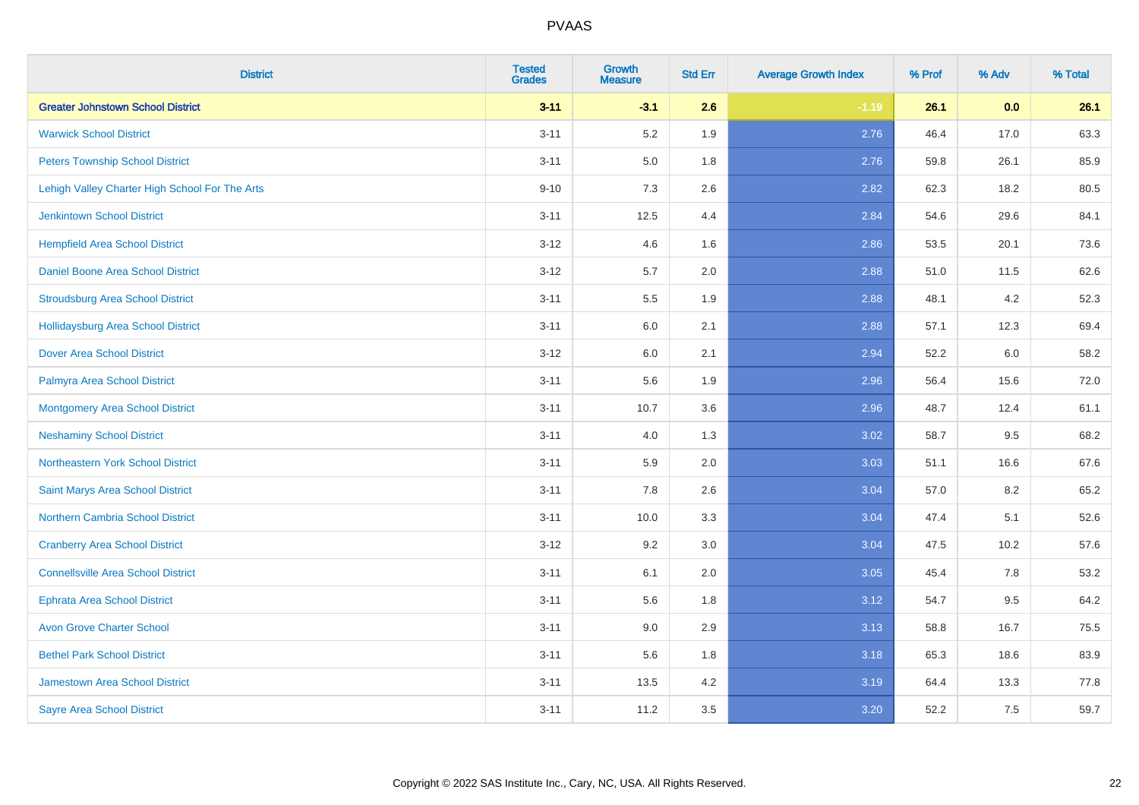| <b>District</b>                                | <b>Tested</b><br><b>Grades</b> | <b>Growth</b><br><b>Measure</b> | <b>Std Err</b> | <b>Average Growth Index</b> | % Prof | % Adv | % Total |
|------------------------------------------------|--------------------------------|---------------------------------|----------------|-----------------------------|--------|-------|---------|
| <b>Greater Johnstown School District</b>       | $3 - 11$                       | $-3.1$                          | 2.6            | $-1.19$                     | 26.1   | 0.0   | 26.1    |
| <b>Warwick School District</b>                 | $3 - 11$                       | 5.2                             | 1.9            | 2.76                        | 46.4   | 17.0  | 63.3    |
| <b>Peters Township School District</b>         | $3 - 11$                       | 5.0                             | 1.8            | 2.76                        | 59.8   | 26.1  | 85.9    |
| Lehigh Valley Charter High School For The Arts | $9 - 10$                       | $7.3$                           | 2.6            | 2.82                        | 62.3   | 18.2  | 80.5    |
| <b>Jenkintown School District</b>              | $3 - 11$                       | 12.5                            | 4.4            | 2.84                        | 54.6   | 29.6  | 84.1    |
| <b>Hempfield Area School District</b>          | $3 - 12$                       | 4.6                             | 1.6            | 2.86                        | 53.5   | 20.1  | 73.6    |
| Daniel Boone Area School District              | $3 - 12$                       | 5.7                             | 2.0            | 2.88                        | 51.0   | 11.5  | 62.6    |
| <b>Stroudsburg Area School District</b>        | $3 - 11$                       | $5.5\,$                         | 1.9            | 2.88                        | 48.1   | 4.2   | 52.3    |
| <b>Hollidaysburg Area School District</b>      | $3 - 11$                       | 6.0                             | 2.1            | 2.88                        | 57.1   | 12.3  | 69.4    |
| <b>Dover Area School District</b>              | $3 - 12$                       | 6.0                             | 2.1            | 2.94                        | 52.2   | 6.0   | 58.2    |
| Palmyra Area School District                   | $3 - 11$                       | 5.6                             | 1.9            | 2.96                        | 56.4   | 15.6  | 72.0    |
| <b>Montgomery Area School District</b>         | $3 - 11$                       | 10.7                            | 3.6            | 2.96                        | 48.7   | 12.4  | 61.1    |
| <b>Neshaminy School District</b>               | $3 - 11$                       | 4.0                             | 1.3            | 3.02                        | 58.7   | 9.5   | 68.2    |
| Northeastern York School District              | $3 - 11$                       | 5.9                             | 2.0            | 3.03                        | 51.1   | 16.6  | 67.6    |
| Saint Marys Area School District               | $3 - 11$                       | 7.8                             | 2.6            | 3.04                        | 57.0   | 8.2   | 65.2    |
| <b>Northern Cambria School District</b>        | $3 - 11$                       | 10.0                            | 3.3            | 3.04                        | 47.4   | 5.1   | 52.6    |
| <b>Cranberry Area School District</b>          | $3 - 12$                       | 9.2                             | 3.0            | 3.04                        | 47.5   | 10.2  | 57.6    |
| <b>Connellsville Area School District</b>      | $3 - 11$                       | 6.1                             | 2.0            | 3.05                        | 45.4   | 7.8   | 53.2    |
| <b>Ephrata Area School District</b>            | $3 - 11$                       | 5.6                             | 1.8            | 3.12                        | 54.7   | 9.5   | 64.2    |
| <b>Avon Grove Charter School</b>               | $3 - 11$                       | 9.0                             | 2.9            | 3.13                        | 58.8   | 16.7  | 75.5    |
| <b>Bethel Park School District</b>             | $3 - 11$                       | 5.6                             | 1.8            | 3.18                        | 65.3   | 18.6  | 83.9    |
| Jamestown Area School District                 | $3 - 11$                       | 13.5                            | 4.2            | 3.19                        | 64.4   | 13.3  | 77.8    |
| <b>Sayre Area School District</b>              | $3 - 11$                       | 11.2                            | 3.5            | 3.20                        | 52.2   | 7.5   | 59.7    |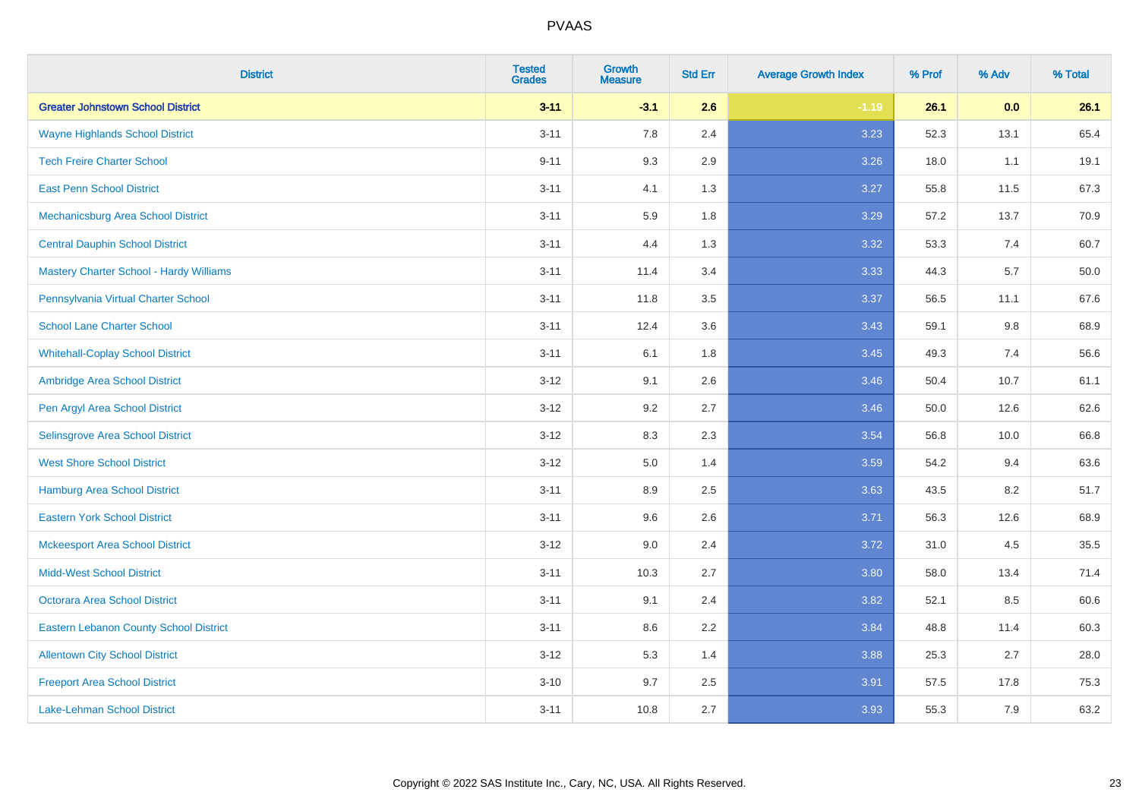| <b>District</b>                                | <b>Tested</b><br><b>Grades</b> | <b>Growth</b><br><b>Measure</b> | <b>Std Err</b> | <b>Average Growth Index</b> | % Prof | % Adv   | % Total |
|------------------------------------------------|--------------------------------|---------------------------------|----------------|-----------------------------|--------|---------|---------|
| <b>Greater Johnstown School District</b>       | $3 - 11$                       | $-3.1$                          | 2.6            | $-1.19$                     | 26.1   | 0.0     | 26.1    |
| <b>Wayne Highlands School District</b>         | $3 - 11$                       | 7.8                             | 2.4            | 3.23                        | 52.3   | 13.1    | 65.4    |
| <b>Tech Freire Charter School</b>              | $9 - 11$                       | 9.3                             | 2.9            | 3.26                        | 18.0   | 1.1     | 19.1    |
| <b>East Penn School District</b>               | $3 - 11$                       | 4.1                             | 1.3            | 3.27                        | 55.8   | 11.5    | 67.3    |
| Mechanicsburg Area School District             | $3 - 11$                       | 5.9                             | 1.8            | 3.29                        | 57.2   | 13.7    | 70.9    |
| <b>Central Dauphin School District</b>         | $3 - 11$                       | 4.4                             | 1.3            | 3.32                        | 53.3   | 7.4     | 60.7    |
| <b>Mastery Charter School - Hardy Williams</b> | $3 - 11$                       | 11.4                            | 3.4            | 3.33                        | 44.3   | 5.7     | 50.0    |
| Pennsylvania Virtual Charter School            | $3 - 11$                       | 11.8                            | 3.5            | 3.37                        | 56.5   | 11.1    | 67.6    |
| <b>School Lane Charter School</b>              | $3 - 11$                       | 12.4                            | 3.6            | 3.43                        | 59.1   | $9.8\,$ | 68.9    |
| <b>Whitehall-Coplay School District</b>        | $3 - 11$                       | 6.1                             | 1.8            | 3.45                        | 49.3   | 7.4     | 56.6    |
| Ambridge Area School District                  | $3 - 12$                       | 9.1                             | 2.6            | 3.46                        | 50.4   | 10.7    | 61.1    |
| Pen Argyl Area School District                 | $3 - 12$                       | 9.2                             | 2.7            | 3.46                        | 50.0   | 12.6    | 62.6    |
| Selinsgrove Area School District               | $3-12$                         | 8.3                             | 2.3            | 3.54                        | 56.8   | 10.0    | 66.8    |
| <b>West Shore School District</b>              | $3 - 12$                       | 5.0                             | 1.4            | 3.59                        | 54.2   | 9.4     | 63.6    |
| <b>Hamburg Area School District</b>            | $3 - 11$                       | 8.9                             | 2.5            | 3.63                        | 43.5   | 8.2     | 51.7    |
| <b>Eastern York School District</b>            | $3 - 11$                       | 9.6                             | 2.6            | 3.71                        | 56.3   | 12.6    | 68.9    |
| <b>Mckeesport Area School District</b>         | $3 - 12$                       | 9.0                             | 2.4            | 3.72                        | 31.0   | 4.5     | 35.5    |
| <b>Midd-West School District</b>               | $3 - 11$                       | 10.3                            | 2.7            | 3.80                        | 58.0   | 13.4    | 71.4    |
| <b>Octorara Area School District</b>           | $3 - 11$                       | 9.1                             | 2.4            | 3.82                        | 52.1   | 8.5     | 60.6    |
| <b>Eastern Lebanon County School District</b>  | $3 - 11$                       | 8.6                             | 2.2            | 3.84                        | 48.8   | 11.4    | 60.3    |
| <b>Allentown City School District</b>          | $3 - 12$                       | 5.3                             | 1.4            | 3.88                        | 25.3   | 2.7     | 28.0    |
| <b>Freeport Area School District</b>           | $3 - 10$                       | 9.7                             | 2.5            | 3.91                        | 57.5   | 17.8    | 75.3    |
| Lake-Lehman School District                    | $3 - 11$                       | 10.8                            | 2.7            | 3.93                        | 55.3   | 7.9     | 63.2    |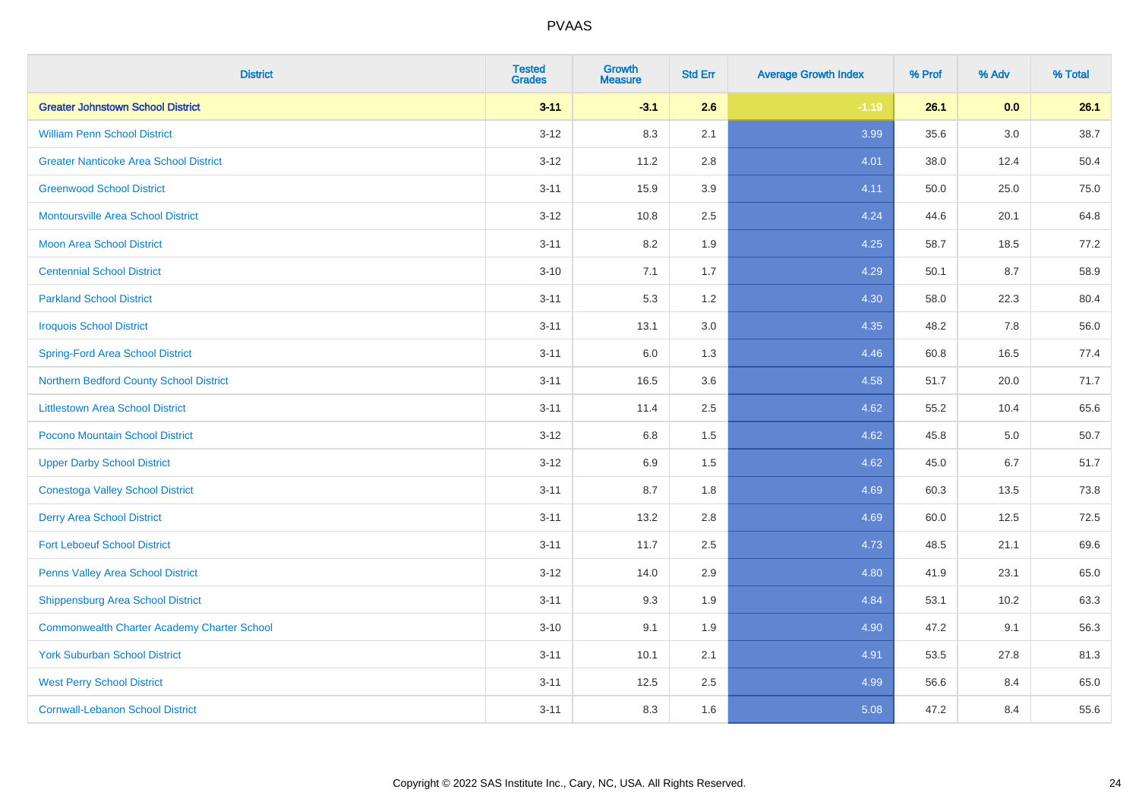| <b>District</b>                                    | <b>Tested</b><br><b>Grades</b> | Growth<br><b>Measure</b> | <b>Std Err</b> | <b>Average Growth Index</b> | % Prof | % Adv | % Total |
|----------------------------------------------------|--------------------------------|--------------------------|----------------|-----------------------------|--------|-------|---------|
| <b>Greater Johnstown School District</b>           | $3 - 11$                       | $-3.1$                   | 2.6            | $-1.19$                     | 26.1   | 0.0   | 26.1    |
| <b>William Penn School District</b>                | $3 - 12$                       | 8.3                      | 2.1            | 3.99                        | 35.6   | 3.0   | 38.7    |
| <b>Greater Nanticoke Area School District</b>      | $3 - 12$                       | 11.2                     | 2.8            | 4.01                        | 38.0   | 12.4  | 50.4    |
| <b>Greenwood School District</b>                   | $3 - 11$                       | 15.9                     | 3.9            | 4.11                        | 50.0   | 25.0  | 75.0    |
| <b>Montoursville Area School District</b>          | $3 - 12$                       | 10.8                     | 2.5            | 4.24                        | 44.6   | 20.1  | 64.8    |
| <b>Moon Area School District</b>                   | $3 - 11$                       | 8.2                      | 1.9            | 4.25                        | 58.7   | 18.5  | 77.2    |
| <b>Centennial School District</b>                  | $3 - 10$                       | 7.1                      | 1.7            | 4.29                        | 50.1   | 8.7   | 58.9    |
| <b>Parkland School District</b>                    | $3 - 11$                       | 5.3                      | 1.2            | 4.30                        | 58.0   | 22.3  | 80.4    |
| <b>Iroquois School District</b>                    | $3 - 11$                       | 13.1                     | 3.0            | 4.35                        | 48.2   | 7.8   | 56.0    |
| <b>Spring-Ford Area School District</b>            | $3 - 11$                       | 6.0                      | 1.3            | 4.46                        | 60.8   | 16.5  | 77.4    |
| Northern Bedford County School District            | $3 - 11$                       | 16.5                     | 3.6            | 4.58                        | 51.7   | 20.0  | 71.7    |
| <b>Littlestown Area School District</b>            | $3 - 11$                       | 11.4                     | 2.5            | 4.62                        | 55.2   | 10.4  | 65.6    |
| Pocono Mountain School District                    | $3 - 12$                       | 6.8                      | 1.5            | 4.62                        | 45.8   | 5.0   | 50.7    |
| <b>Upper Darby School District</b>                 | $3 - 12$                       | 6.9                      | 1.5            | 4.62                        | 45.0   | 6.7   | 51.7    |
| <b>Conestoga Valley School District</b>            | $3 - 11$                       | 8.7                      | 1.8            | 4.69                        | 60.3   | 13.5  | 73.8    |
| <b>Derry Area School District</b>                  | $3 - 11$                       | 13.2                     | 2.8            | 4.69                        | 60.0   | 12.5  | 72.5    |
| <b>Fort Leboeuf School District</b>                | $3 - 11$                       | 11.7                     | 2.5            | 4.73                        | 48.5   | 21.1  | 69.6    |
| Penns Valley Area School District                  | $3 - 12$                       | 14.0                     | 2.9            | 4.80                        | 41.9   | 23.1  | 65.0    |
| <b>Shippensburg Area School District</b>           | $3 - 11$                       | 9.3                      | 1.9            | 4.84                        | 53.1   | 10.2  | 63.3    |
| <b>Commonwealth Charter Academy Charter School</b> | $3 - 10$                       | 9.1                      | 1.9            | 4.90                        | 47.2   | 9.1   | 56.3    |
| <b>York Suburban School District</b>               | $3 - 11$                       | 10.1                     | 2.1            | 4.91                        | 53.5   | 27.8  | 81.3    |
| <b>West Perry School District</b>                  | $3 - 11$                       | 12.5                     | 2.5            | 4.99                        | 56.6   | 8.4   | 65.0    |
| <b>Cornwall-Lebanon School District</b>            | $3 - 11$                       | 8.3                      | 1.6            | 5.08                        | 47.2   | 8.4   | 55.6    |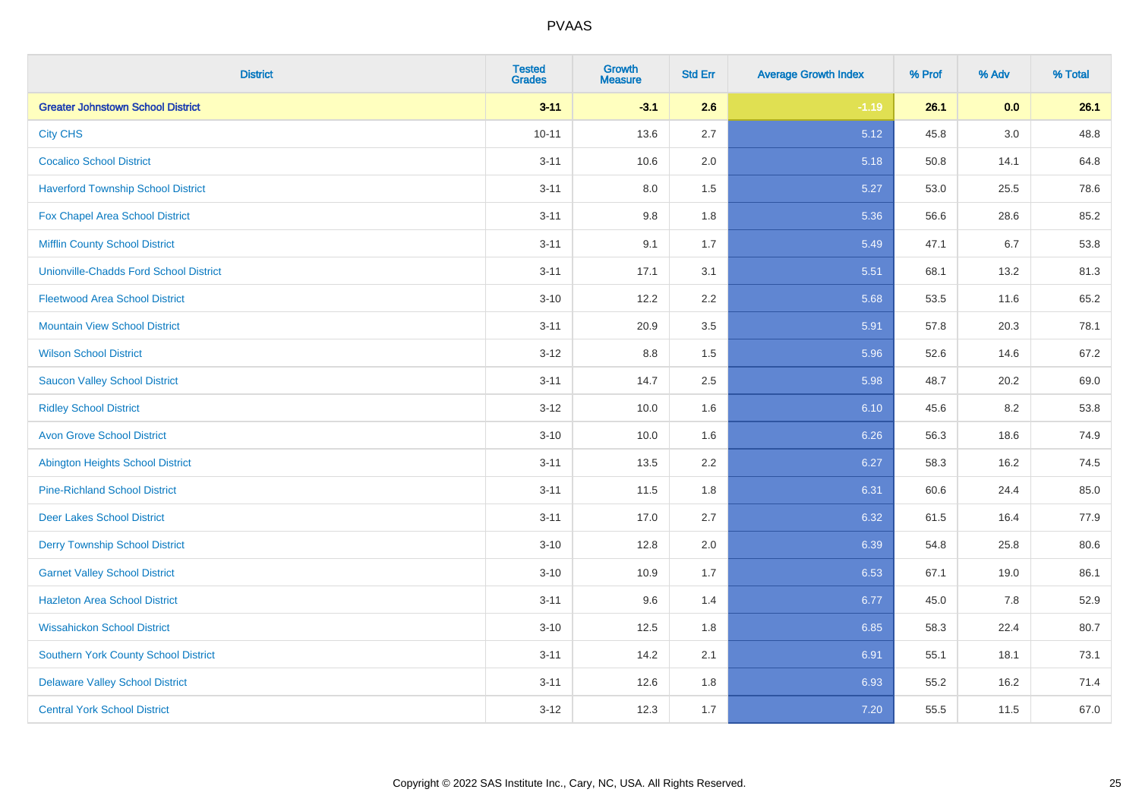| <b>District</b>                               | <b>Tested</b><br><b>Grades</b> | <b>Growth</b><br><b>Measure</b> | <b>Std Err</b> | <b>Average Growth Index</b> | % Prof | % Adv | % Total |
|-----------------------------------------------|--------------------------------|---------------------------------|----------------|-----------------------------|--------|-------|---------|
| <b>Greater Johnstown School District</b>      | $3 - 11$                       | $-3.1$                          | 2.6            | $-1.19$                     | 26.1   | 0.0   | 26.1    |
| <b>City CHS</b>                               | $10 - 11$                      | 13.6                            | 2.7            | 5.12                        | 45.8   | 3.0   | 48.8    |
| <b>Cocalico School District</b>               | $3 - 11$                       | 10.6                            | 2.0            | 5.18                        | 50.8   | 14.1  | 64.8    |
| <b>Haverford Township School District</b>     | $3 - 11$                       | $8.0\,$                         | 1.5            | 5.27                        | 53.0   | 25.5  | 78.6    |
| Fox Chapel Area School District               | $3 - 11$                       | 9.8                             | 1.8            | 5.36                        | 56.6   | 28.6  | 85.2    |
| <b>Mifflin County School District</b>         | $3 - 11$                       | 9.1                             | 1.7            | 5.49                        | 47.1   | 6.7   | 53.8    |
| <b>Unionville-Chadds Ford School District</b> | $3 - 11$                       | 17.1                            | 3.1            | 5.51                        | 68.1   | 13.2  | 81.3    |
| <b>Fleetwood Area School District</b>         | $3 - 10$                       | 12.2                            | 2.2            | 5.68                        | 53.5   | 11.6  | 65.2    |
| <b>Mountain View School District</b>          | $3 - 11$                       | 20.9                            | 3.5            | 5.91                        | 57.8   | 20.3  | 78.1    |
| <b>Wilson School District</b>                 | $3 - 12$                       | 8.8                             | 1.5            | 5.96                        | 52.6   | 14.6  | 67.2    |
| <b>Saucon Valley School District</b>          | $3 - 11$                       | 14.7                            | 2.5            | 5.98                        | 48.7   | 20.2  | 69.0    |
| <b>Ridley School District</b>                 | $3 - 12$                       | 10.0                            | 1.6            | 6.10                        | 45.6   | 8.2   | 53.8    |
| <b>Avon Grove School District</b>             | $3 - 10$                       | 10.0                            | 1.6            | 6.26                        | 56.3   | 18.6  | 74.9    |
| <b>Abington Heights School District</b>       | $3 - 11$                       | 13.5                            | 2.2            | 6.27                        | 58.3   | 16.2  | 74.5    |
| <b>Pine-Richland School District</b>          | $3 - 11$                       | 11.5                            | 1.8            | 6.31                        | 60.6   | 24.4  | 85.0    |
| <b>Deer Lakes School District</b>             | $3 - 11$                       | 17.0                            | 2.7            | 6.32                        | 61.5   | 16.4  | 77.9    |
| <b>Derry Township School District</b>         | $3 - 10$                       | 12.8                            | 2.0            | 6.39                        | 54.8   | 25.8  | 80.6    |
| <b>Garnet Valley School District</b>          | $3 - 10$                       | 10.9                            | 1.7            | 6.53                        | 67.1   | 19.0  | 86.1    |
| <b>Hazleton Area School District</b>          | $3 - 11$                       | 9.6                             | 1.4            | 6.77                        | 45.0   | 7.8   | 52.9    |
| <b>Wissahickon School District</b>            | $3 - 10$                       | 12.5                            | 1.8            | 6.85                        | 58.3   | 22.4  | 80.7    |
| <b>Southern York County School District</b>   | $3 - 11$                       | 14.2                            | 2.1            | 6.91                        | 55.1   | 18.1  | 73.1    |
| <b>Delaware Valley School District</b>        | $3 - 11$                       | 12.6                            | 1.8            | 6.93                        | 55.2   | 16.2  | 71.4    |
| <b>Central York School District</b>           | $3-12$                         | 12.3                            | 1.7            | 7.20                        | 55.5   | 11.5  | 67.0    |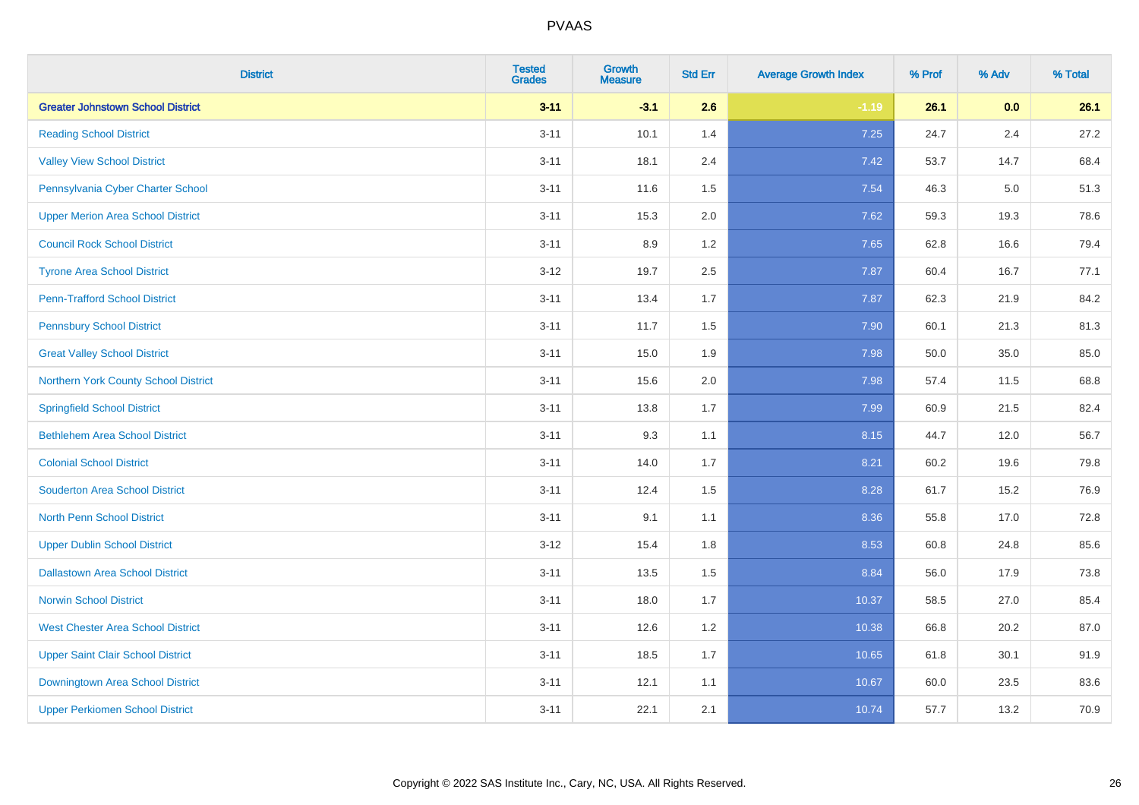| <b>District</b>                          | <b>Tested</b><br><b>Grades</b> | <b>Growth</b><br><b>Measure</b> | <b>Std Err</b> | <b>Average Growth Index</b> | % Prof | % Adv | % Total |
|------------------------------------------|--------------------------------|---------------------------------|----------------|-----------------------------|--------|-------|---------|
| <b>Greater Johnstown School District</b> | $3 - 11$                       | $-3.1$                          | 2.6            | $-1.19$                     | 26.1   | 0.0   | 26.1    |
| <b>Reading School District</b>           | $3 - 11$                       | 10.1                            | 1.4            | 7.25                        | 24.7   | 2.4   | 27.2    |
| <b>Valley View School District</b>       | $3 - 11$                       | 18.1                            | 2.4            | 7.42                        | 53.7   | 14.7  | 68.4    |
| Pennsylvania Cyber Charter School        | $3 - 11$                       | 11.6                            | 1.5            | 7.54                        | 46.3   | 5.0   | 51.3    |
| <b>Upper Merion Area School District</b> | $3 - 11$                       | 15.3                            | 2.0            | 7.62                        | 59.3   | 19.3  | 78.6    |
| <b>Council Rock School District</b>      | $3 - 11$                       | 8.9                             | 1.2            | 7.65                        | 62.8   | 16.6  | 79.4    |
| <b>Tyrone Area School District</b>       | $3 - 12$                       | 19.7                            | 2.5            | 7.87                        | 60.4   | 16.7  | 77.1    |
| <b>Penn-Trafford School District</b>     | $3 - 11$                       | 13.4                            | 1.7            | 7.87                        | 62.3   | 21.9  | 84.2    |
| <b>Pennsbury School District</b>         | $3 - 11$                       | 11.7                            | 1.5            | 7.90                        | 60.1   | 21.3  | 81.3    |
| <b>Great Valley School District</b>      | $3 - 11$                       | 15.0                            | 1.9            | 7.98                        | 50.0   | 35.0  | 85.0    |
| Northern York County School District     | $3 - 11$                       | 15.6                            | 2.0            | 7.98                        | 57.4   | 11.5  | 68.8    |
| <b>Springfield School District</b>       | $3 - 11$                       | 13.8                            | 1.7            | 7.99                        | 60.9   | 21.5  | 82.4    |
| <b>Bethlehem Area School District</b>    | $3 - 11$                       | 9.3                             | 1.1            | 8.15                        | 44.7   | 12.0  | 56.7    |
| <b>Colonial School District</b>          | $3 - 11$                       | 14.0                            | 1.7            | 8.21                        | 60.2   | 19.6  | 79.8    |
| <b>Souderton Area School District</b>    | $3 - 11$                       | 12.4                            | 1.5            | 8.28                        | 61.7   | 15.2  | 76.9    |
| <b>North Penn School District</b>        | $3 - 11$                       | 9.1                             | 1.1            | 8.36                        | 55.8   | 17.0  | 72.8    |
| <b>Upper Dublin School District</b>      | $3-12$                         | 15.4                            | 1.8            | 8.53                        | 60.8   | 24.8  | 85.6    |
| <b>Dallastown Area School District</b>   | $3 - 11$                       | 13.5                            | 1.5            | 8.84                        | 56.0   | 17.9  | 73.8    |
| <b>Norwin School District</b>            | $3 - 11$                       | 18.0                            | 1.7            | 10.37                       | 58.5   | 27.0  | 85.4    |
| <b>West Chester Area School District</b> | $3 - 11$                       | 12.6                            | 1.2            | 10.38                       | 66.8   | 20.2  | 87.0    |
| <b>Upper Saint Clair School District</b> | $3 - 11$                       | 18.5                            | 1.7            | 10.65                       | 61.8   | 30.1  | 91.9    |
| Downingtown Area School District         | $3 - 11$                       | 12.1                            | 1.1            | 10.67                       | 60.0   | 23.5  | 83.6    |
| <b>Upper Perkiomen School District</b>   | $3 - 11$                       | 22.1                            | 2.1            | 10.74                       | 57.7   | 13.2  | 70.9    |